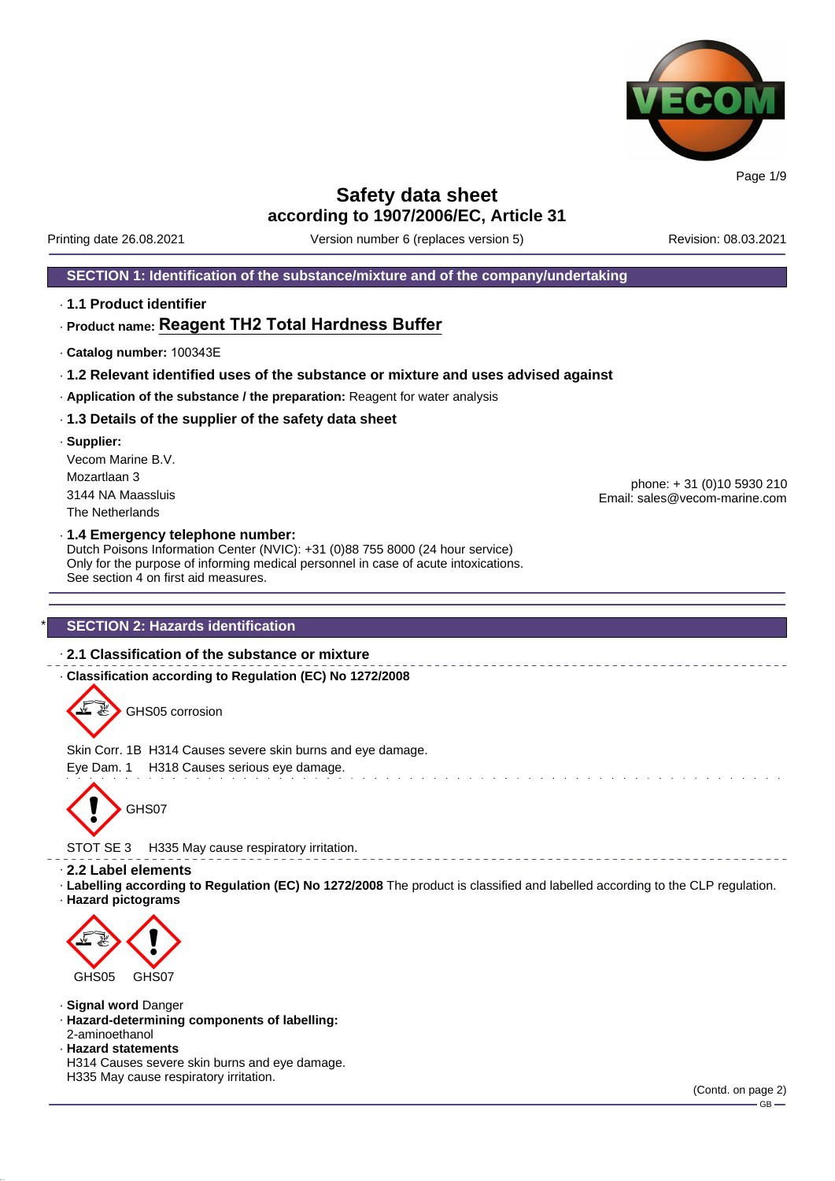

Printing date 26.08.2021 Version number 6 (replaces version 5) Revision: 08.03.2021

#### **SECTION 1: Identification of the substance/mixture and of the company/undertaking**

· **1.1 Product identifier**

#### · **Product name: Reagent TH2 Total Hardness Buffer**

- · **Catalog number:** 100343E
- · **1.2 Relevant identified uses of the substance or mixture and uses advised against**
- · **Application of the substance / the preparation:** Reagent for water analysis
- · **1.3 Details of the supplier of the safety data sheet**
- · **Supplier:** Vecom Marine B.V. Mozartlaan 3 3144 NA Maassluis The Netherlands

phone: + 31 (0)10 5930 210 Email: sales@vecom-marine.com

#### · **1.4 Emergency telephone number:**

Dutch Poisons Information Center (NVIC): +31 (0)88 755 8000 (24 hour service) Only for the purpose of informing medical personnel in case of acute intoxications. See section 4 on first aid measures.

#### **SECTION 2: Hazards identification**

#### · **2.1 Classification of the substance or mixture**

· **Classification according to Regulation (EC) No 1272/2008**

GHS05 corrosion

Skin Corr. 1B H314 Causes severe skin burns and eye damage.

Eye Dam. 1 H318 Causes serious eye damage.



STOT SE 3 H335 May cause respiratory irritation.

#### · **2.2 Label elements**

· **Labelling according to Regulation (EC) No 1272/2008** The product is classified and labelled according to the CLP regulation. · **Hazard pictograms**



GHS<sub>05</sub> GHS<sub>07</sub>

· **Signal word** Danger

- · **Hazard-determining components of labelling:**
- 2-aminoethanol · **Hazard statements**

H314 Causes severe skin burns and eye damage. H335 May cause respiratory irritation.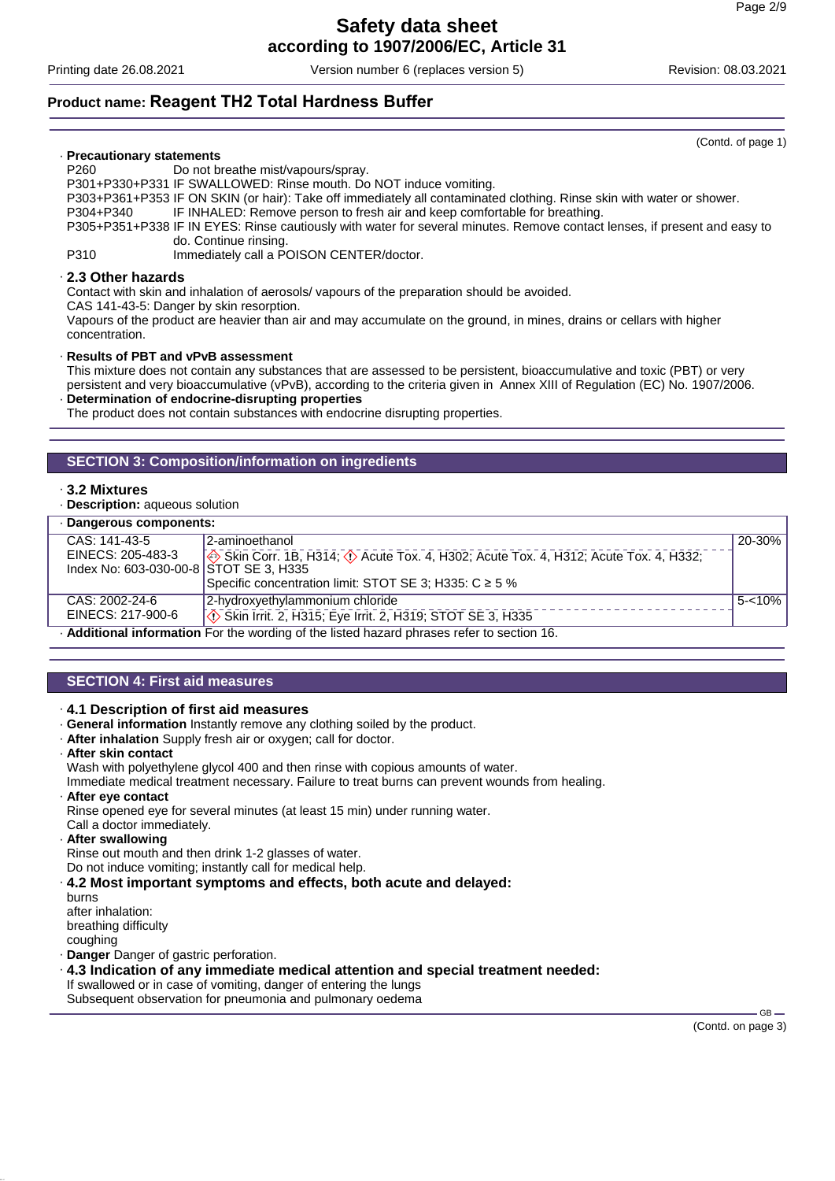Printing date 26.08.2021 Version number 6 (replaces version 5) Revision: 08.03.2021

# **Product name: Reagent TH2 Total Hardness Buffer**

#### · **Precautionary statements**

P260 Do not breathe mist/vapours/spray.

P301+P330+P331 IF SWALLOWED: Rinse mouth. Do NOT induce vomiting.

P303+P361+P353 IF ON SKIN (or hair): Take off immediately all contaminated clothing. Rinse skin with water or shower.

P304+P340 IF INHALED: Remove person to fresh air and keep comfortable for breathing.

P305+P351+P338 IF IN EYES: Rinse cautiously with water for several minutes. Remove contact lenses, if present and easy to do. Continue rinsing.

P310 Immediately call a POISON CENTER/doctor.

#### · **2.3 Other hazards**

Contact with skin and inhalation of aerosols/ vapours of the preparation should be avoided.

CAS 141-43-5: Danger by skin resorption.

Vapours of the product are heavier than air and may accumulate on the ground, in mines, drains or cellars with higher concentration.

#### · **Results of PBT and vPvB assessment**

This mixture does not contain any substances that are assessed to be persistent, bioaccumulative and toxic (PBT) or very persistent and very bioaccumulative (vPvB), according to the criteria given in Annex XIII of Regulation (EC) No. 1907/2006.

· **Determination of endocrine-disrupting properties**

The product does not contain substances with endocrine disrupting properties.

#### **SECTION 3: Composition/information on ingredients**

#### · **3.2 Mixtures**

· **Description:** aqueous solution

| · Dangerous components:                                                                         |                                                                                             |            |
|-------------------------------------------------------------------------------------------------|---------------------------------------------------------------------------------------------|------------|
| $CAS: 141-43-5$                                                                                 | 2-aminoethanol                                                                              | $20 - 30%$ |
| EINECS: 205-483-3                                                                               | Skin Corr. 1B, H314; $\Diamond$ Acute Tox. 4, H302; Acute Tox. 4, H312; Acute Tox. 4, H332; |            |
| Index No: 603-030-00-8 STOT SE 3, H335                                                          |                                                                                             |            |
|                                                                                                 | Specific concentration limit: STOT SE 3; H335: C ≥ 5 %                                      |            |
| CAS: 2002-24-6                                                                                  | 2-hvdroxvethvlammonium chloride                                                             | $5 - 10\%$ |
| EINECS: 217-900-6                                                                               | Skin Irrit. 2, H315; Eye Irrit. 2, H319; STOT SE 3, H335                                    |            |
| <b>Additional information</b> For the wording of the listed hazard phrases refer to section 16. |                                                                                             |            |

· **Additional information** For the wording of the listed hazard phrases refer to section 16.

### **SECTION 4: First aid measures**

#### · **4.1 Description of first aid measures**

· **General information** Instantly remove any clothing soiled by the product.

- · **After inhalation** Supply fresh air or oxygen; call for doctor.
- · **After skin contact**

Wash with polyethylene glycol 400 and then rinse with copious amounts of water. Immediate medical treatment necessary. Failure to treat burns can prevent wounds from healing.

· **After eye contact**

Rinse opened eye for several minutes (at least 15 min) under running water.

- Call a doctor immediately.
- · **After swallowing**

Rinse out mouth and then drink 1-2 glasses of water.

Do not induce vomiting; instantly call for medical help.

· **4.2 Most important symptoms and effects, both acute and delayed:**

burns after inhalation: breathing difficulty coughing

· **Danger** Danger of gastric perforation.

· **4.3 Indication of any immediate medical attention and special treatment needed:**

If swallowed or in case of vomiting, danger of entering the lungs Subsequent observation for pneumonia and pulmonary oedema

> $GB =$ (Contd. on page 3)

(Contd. of page 1)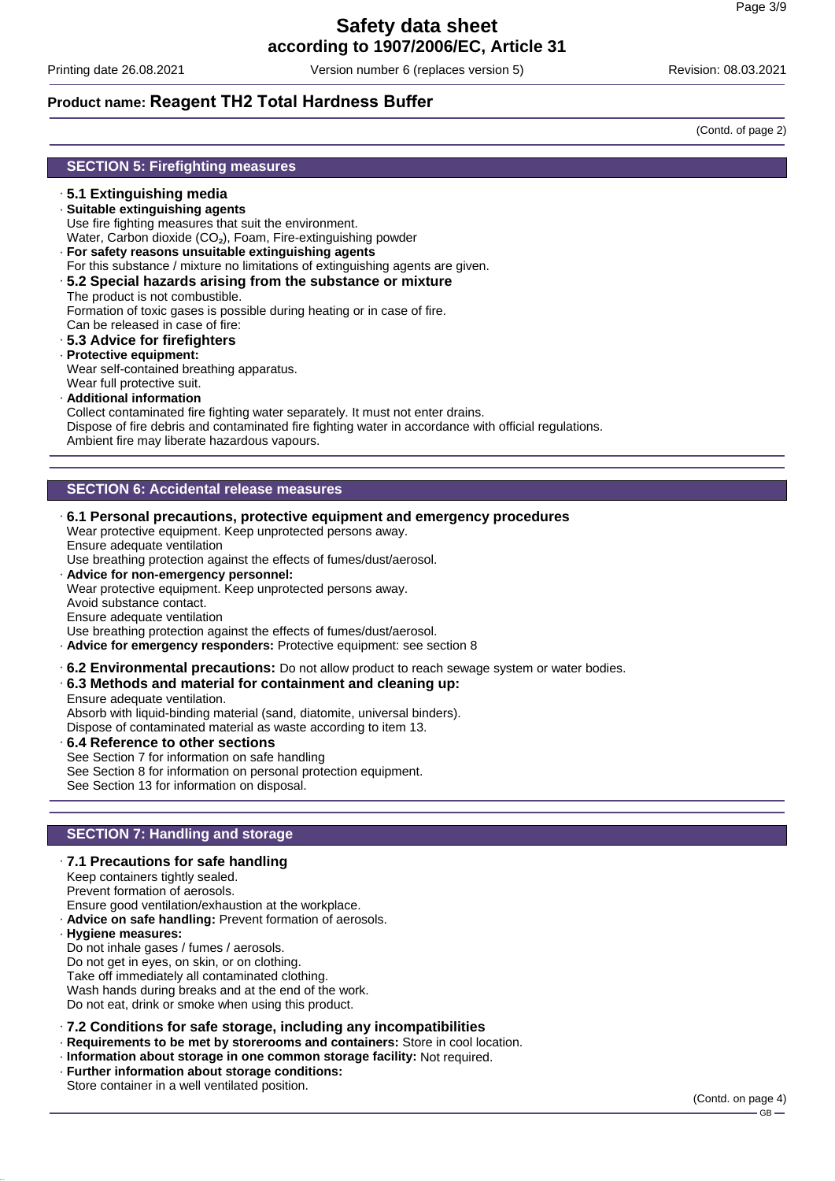Printing date 26.08.2021 Version number 6 (replaces version 5) Revision: 08.03.2021

# **Product name: Reagent TH2 Total Hardness Buffer**

(Contd. of page 2)

- · **5.1 Extinguishing media**
- · **Suitable extinguishing agents** Use fire fighting measures that suit the environment. Water, Carbon dioxide (CO<sub>2</sub>), Foam, Fire-extinguishing powder
- · **For safety reasons unsuitable extinguishing agents**
- For this substance / mixture no limitations of extinguishing agents are given.
- · **5.2 Special hazards arising from the substance or mixture**
- The product is not combustible.

Formation of toxic gases is possible during heating or in case of fire.

- Can be released in case of fire:
- · **5.3 Advice for firefighters**
- · **Protective equipment:**
- Wear self-contained breathing apparatus. Wear full protective suit.
- · **Additional information**

Collect contaminated fire fighting water separately. It must not enter drains. Dispose of fire debris and contaminated fire fighting water in accordance with official regulations. Ambient fire may liberate hazardous vapours.

# **SECTION 6: Accidental release measures**

· **6.1 Personal precautions, protective equipment and emergency procedures**

Wear protective equipment. Keep unprotected persons away. Ensure adequate ventilation

Use breathing protection against the effects of fumes/dust/aerosol.

· **Advice for non-emergency personnel:**

Wear protective equipment. Keep unprotected persons away.

Avoid substance contact.

Ensure adequate ventilation

Use breathing protection against the effects of fumes/dust/aerosol.

- · **Advice for emergency responders:** Protective equipment: see section 8
- · **6.2 Environmental precautions:** Do not allow product to reach sewage system or water bodies.
- · **6.3 Methods and material for containment and cleaning up:**

Ensure adequate ventilation.

Absorb with liquid-binding material (sand, diatomite, universal binders).

Dispose of contaminated material as waste according to item 13.

· **6.4 Reference to other sections** See Section 7 for information on safe handling See Section 8 for information on personal protection equipment. See Section 13 for information on disposal.

### **SECTION 7: Handling and storage**

· **7.1 Precautions for safe handling**

Keep containers tightly sealed. Prevent formation of aerosols.

- Ensure good ventilation/exhaustion at the workplace.
- · **Advice on safe handling:** Prevent formation of aerosols.
- · **Hygiene measures:**

Do not inhale gases / fumes / aerosols.

Do not get in eyes, on skin, or on clothing.

Take off immediately all contaminated clothing.

Wash hands during breaks and at the end of the work.

Do not eat, drink or smoke when using this product.

#### · **7.2 Conditions for safe storage, including any incompatibilities**

- · **Requirements to be met by storerooms and containers:** Store in cool location.
- · **Information about storage in one common storage facility:** Not required.
- · **Further information about storage conditions:**

Store container in a well ventilated position.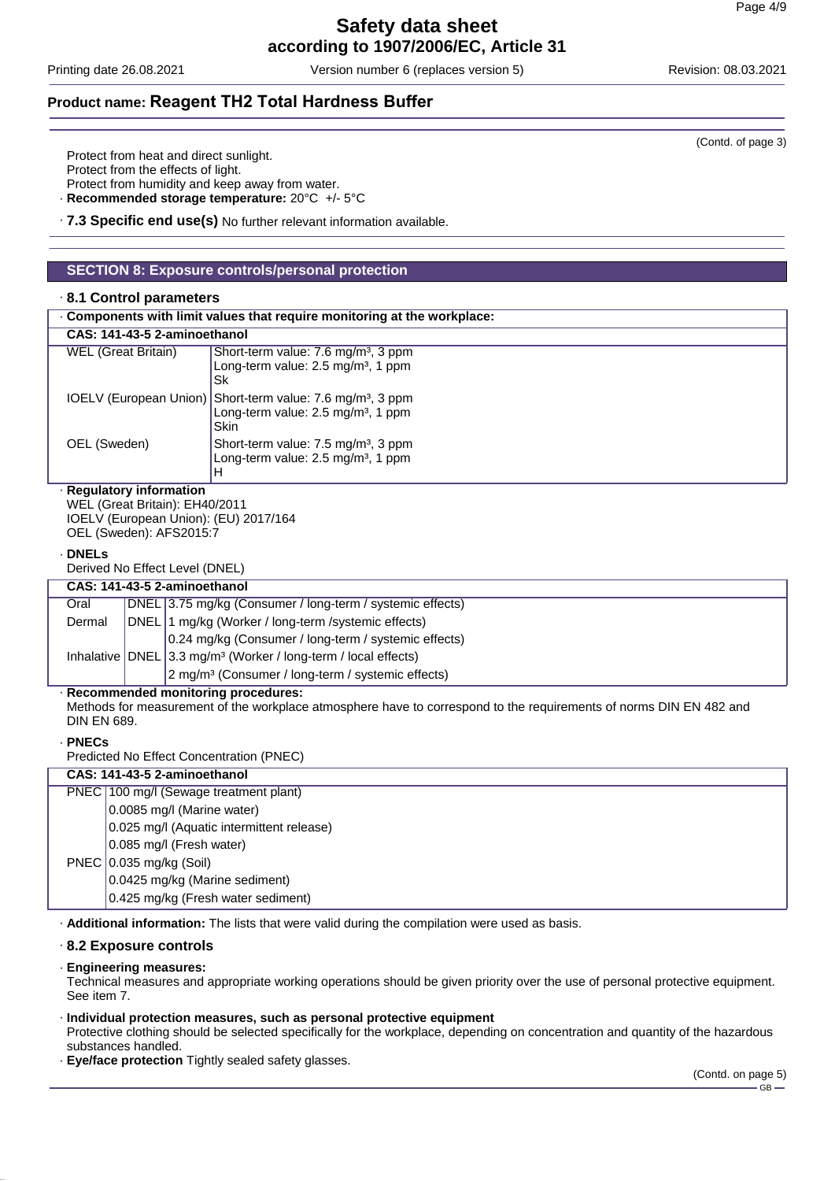Printing date 26.08.2021 Version number 6 (replaces version 5) Revision: 08.03.2021

# **Product name: Reagent TH2 Total Hardness Buffer**

Protect from heat and direct sunlight.

Protect from the effects of light.

Protect from humidity and keep away from water.

· **Recommended storage temperature:** 20°C +/- 5°C

· **7.3 Specific end use(s)** No further relevant information available.

# **SECTION 8: Exposure controls/personal protection**

#### · **8.1 Control parameters**

| . Components with limit values that require monitoring at the workplace:                                                       |                                                                                                                                        |  |
|--------------------------------------------------------------------------------------------------------------------------------|----------------------------------------------------------------------------------------------------------------------------------------|--|
|                                                                                                                                | CAS: 141-43-5 2-aminoethanol                                                                                                           |  |
| <b>WEL (Great Britain)</b>                                                                                                     | Short-term value: 7.6 mg/m <sup>3</sup> , 3 ppm<br>Long-term value: $2.5 \text{ mg/m}^3$ , 1 ppm<br>Sk                                 |  |
|                                                                                                                                | IOELV (European Union) Short-term value: 7.6 mg/m <sup>3</sup> , 3 ppm<br>Long-term value: $2.5 \text{ mg/m}^3$ , 1 ppm<br><b>Skin</b> |  |
| OEL (Sweden)                                                                                                                   | Short-term value: 7.5 mg/m <sup>3</sup> , 3 ppm<br>Long-term value: $2.5 \text{ mg/m}^3$ , 1 ppm<br>н                                  |  |
| · Regulatory information<br>WEL (Great Britain): EH40/2011<br>IOELV (European Union): (EU) 2017/164<br>OEL (Sweden): AFS2015:7 |                                                                                                                                        |  |
| .                                                                                                                              |                                                                                                                                        |  |

#### · **DNELs**

Derived No Effect Level (DNEL)

| CAS: 141-43-5 2-aminoethanol |  |                                                                                |
|------------------------------|--|--------------------------------------------------------------------------------|
| Oral                         |  | DNEL 3.75 mg/kg (Consumer / long-term / systemic effects)                      |
| Dermal                       |  | DNEL 1 mg/kg (Worker / long-term / systemic effects)                           |
|                              |  | 0.24 mg/kg (Consumer / long-term / systemic effects)                           |
|                              |  | Inhalative   DNEL   3.3 mg/m <sup>3</sup> (Worker / long-term / local effects) |
|                              |  | 2 mg/m <sup>3</sup> (Consumer / long-term / systemic effects)                  |
| . .                          |  |                                                                                |

#### · **Recommended monitoring procedures:**

Methods for measurement of the workplace atmosphere have to correspond to the requirements of norms DIN EN 482 and DIN EN 689.

#### · **PNECs**

Predicted No Effect Concentration (PNEC)

# **CAS: 141-43-5 2-aminoethanol** PNEC 100 mg/l (Sewage treatment plant) 0.0085 mg/l (Marine water) 0.025 mg/l (Aquatic intermittent release) 0.085 mg/l (Fresh water) PNEC 0.035 mg/kg (Soil) 0.0425 mg/kg (Marine sediment) 0.425 mg/kg (Fresh water sediment)

· **Additional information:** The lists that were valid during the compilation were used as basis.

#### · **8.2 Exposure controls**

#### · **Engineering measures:**

Technical measures and appropriate working operations should be given priority over the use of personal protective equipment. See item 7.

#### · **Individual protection measures, such as personal protective equipment**

Protective clothing should be selected specifically for the workplace, depending on concentration and quantity of the hazardous substances handled.

· **Eye/face protection** Tightly sealed safety glasses.

(Contd. of page 3)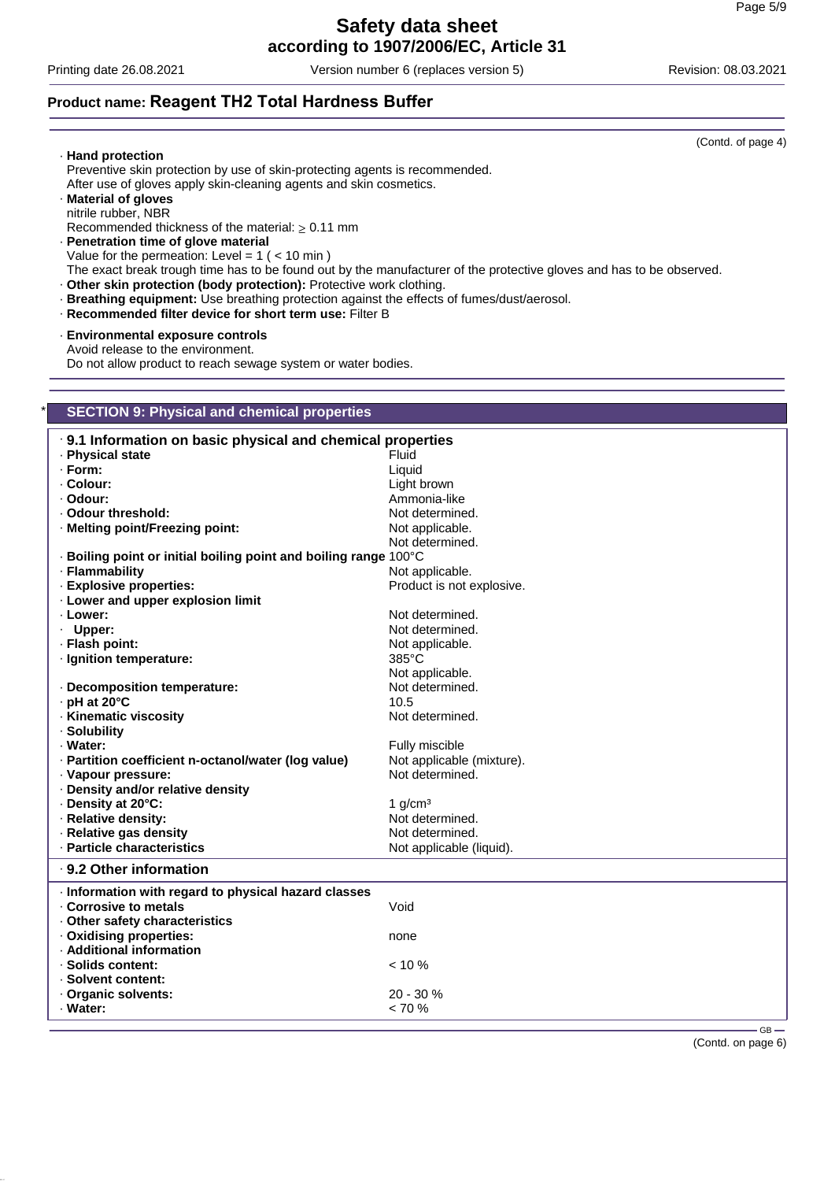Printing date 26.08.2021 Version number 6 (replaces version 5) Revision: 08.03.2021

# **Product name: Reagent TH2 Total Hardness Buffer**

|                                                                                               | (Contd. of page 4)                                                                                                   |  |
|-----------------------------------------------------------------------------------------------|----------------------------------------------------------------------------------------------------------------------|--|
| · Hand protection                                                                             |                                                                                                                      |  |
| Preventive skin protection by use of skin-protecting agents is recommended.                   |                                                                                                                      |  |
| After use of gloves apply skin-cleaning agents and skin cosmetics.                            |                                                                                                                      |  |
| · Material of gloves                                                                          |                                                                                                                      |  |
| nitrile rubber, NBR                                                                           |                                                                                                                      |  |
| Recommended thickness of the material: $\geq 0.11$ mm<br>· Penetration time of glove material |                                                                                                                      |  |
| Value for the permeation: Level = $1$ ( < 10 min)                                             |                                                                                                                      |  |
|                                                                                               | The exact break trough time has to be found out by the manufacturer of the protective gloves and has to be observed. |  |
| · Other skin protection (body protection): Protective work clothing.                          |                                                                                                                      |  |
| · Breathing equipment: Use breathing protection against the effects of fumes/dust/aerosol.    |                                                                                                                      |  |
| · Recommended filter device for short term use: Filter B                                      |                                                                                                                      |  |
|                                                                                               |                                                                                                                      |  |
| - Environmental exposure controls                                                             |                                                                                                                      |  |
| Avoid release to the environment.                                                             |                                                                                                                      |  |
| Do not allow product to reach sewage system or water bodies.                                  |                                                                                                                      |  |
|                                                                                               |                                                                                                                      |  |
|                                                                                               |                                                                                                                      |  |
| <b>SECTION 9: Physical and chemical properties</b>                                            |                                                                                                                      |  |
|                                                                                               |                                                                                                                      |  |
| .9.1 Information on basic physical and chemical properties                                    |                                                                                                                      |  |
| · Physical state                                                                              | Fluid                                                                                                                |  |
| $\cdot$ Form:                                                                                 | Liquid                                                                                                               |  |
| · Colour:                                                                                     | Light brown                                                                                                          |  |
| · Odour:                                                                                      | Ammonia-like                                                                                                         |  |
| ⋅ Odour threshold:                                                                            | Not determined.                                                                                                      |  |
| · Melting point/Freezing point:                                                               | Not applicable.                                                                                                      |  |
|                                                                                               | Not determined.                                                                                                      |  |
| · Boiling point or initial boiling point and boiling range 100°C                              |                                                                                                                      |  |
| · Flammability                                                                                | Not applicable.                                                                                                      |  |
| · Explosive properties:                                                                       | Product is not explosive.                                                                                            |  |
| . Lower and upper explosion limit                                                             |                                                                                                                      |  |
| · Lower:                                                                                      | Not determined.                                                                                                      |  |
| · Upper:                                                                                      | Not determined.                                                                                                      |  |
| · Flash point:                                                                                | Not applicable.                                                                                                      |  |
| · Ignition temperature:                                                                       | 385°C                                                                                                                |  |
|                                                                                               | Not applicable.                                                                                                      |  |
| · Decomposition temperature:                                                                  | Not determined.                                                                                                      |  |
| · pH at 20°C                                                                                  | 10.5                                                                                                                 |  |
| · Kinematic viscosity                                                                         | Not determined.                                                                                                      |  |
| · Solubility                                                                                  |                                                                                                                      |  |
| · Water:                                                                                      | Fully miscible                                                                                                       |  |
| Partition coefficient n-octanol/water (log value)                                             | Not applicable (mixture).                                                                                            |  |
| · Vapour pressure:                                                                            | Not determined.                                                                                                      |  |
| · Density and/or relative density                                                             |                                                                                                                      |  |
| Density at 20°C:                                                                              | 1 $g/cm3$                                                                                                            |  |
| · Relative density:                                                                           | Not determined.                                                                                                      |  |
| · Relative gas density                                                                        | Not determined.                                                                                                      |  |
| · Particle characteristics                                                                    | Not applicable (liquid).                                                                                             |  |
| · 9.2 Other information                                                                       |                                                                                                                      |  |
|                                                                                               |                                                                                                                      |  |
| Information with regard to physical hazard classes                                            |                                                                                                                      |  |
| Corrosive to metals                                                                           | Void                                                                                                                 |  |
| Other safety characteristics                                                                  |                                                                                                                      |  |
| · Oxidising properties:                                                                       | none                                                                                                                 |  |
| · Additional information                                                                      |                                                                                                                      |  |
| · Solids content:                                                                             | $< 10 \%$                                                                                                            |  |
| · Solvent content:                                                                            |                                                                                                                      |  |
| Organic solvents:                                                                             | 20 - 30 %                                                                                                            |  |
| · Water:                                                                                      | $< 70 \%$                                                                                                            |  |
|                                                                                               | $GB -$                                                                                                               |  |

(Contd. on page 6)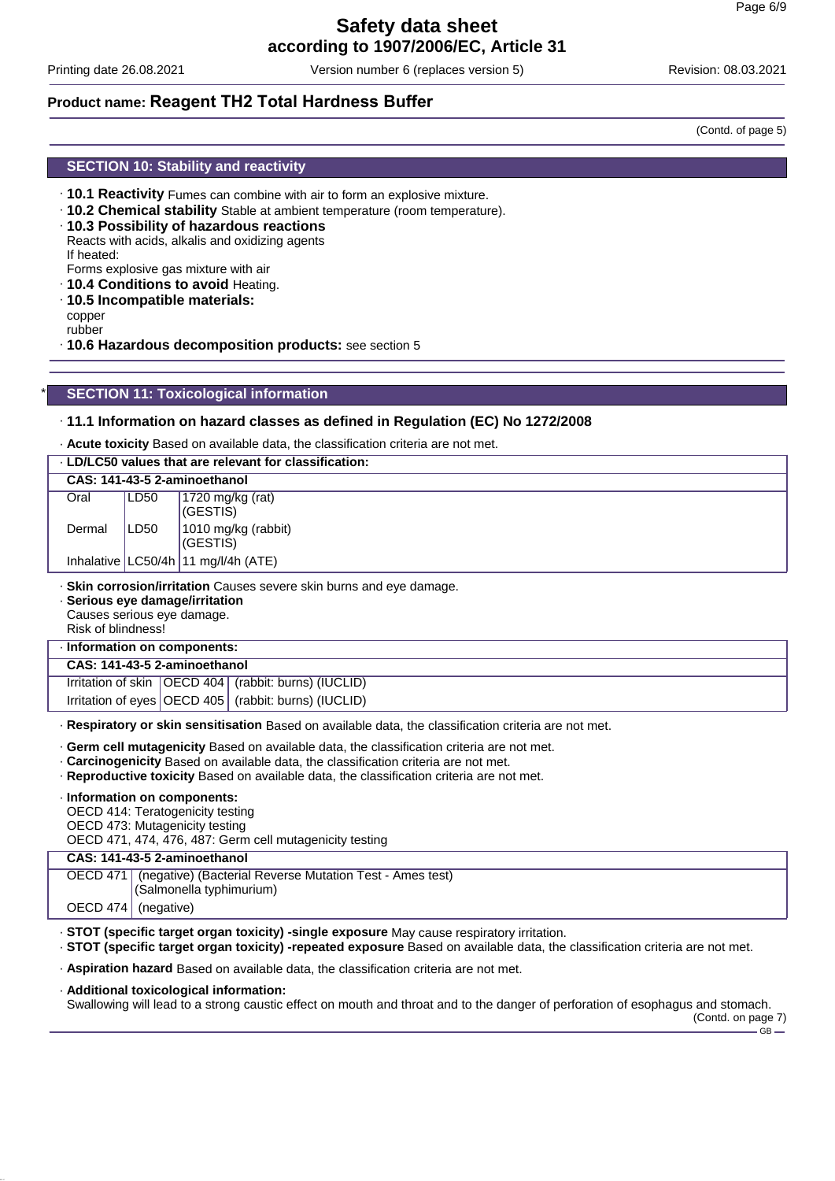Printing date 26.08.2021 Version number 6 (replaces version 5) Revision: 08.03.2021

# **Product name: Reagent TH2 Total Hardness Buffer**

(Contd. of page 5)

#### **SECTION 10: Stability and reactivity**

- · **10.1 Reactivity** Fumes can combine with air to form an explosive mixture.
- · **10.2 Chemical stability** Stable at ambient temperature (room temperature).
- · **10.3 Possibility of hazardous reactions** Reacts with acids, alkalis and oxidizing agents If heated:
- Forms explosive gas mixture with air
- · **10.4 Conditions to avoid** Heating.
- · **10.5 Incompatible materials:** copper rubber
- · **10.6 Hazardous decomposition products:** see section 5

#### **SECTION 11: Toxicological information**

#### · **11.1 Information on hazard classes as defined in Regulation (EC) No 1272/2008**

· **Acute toxicity** Based on available data, the classification criteria are not met.

| . LD/LC50 values that are relevant for classification:                                                                                                      |      |                                                          |
|-------------------------------------------------------------------------------------------------------------------------------------------------------------|------|----------------------------------------------------------|
|                                                                                                                                                             |      | CAS: 141-43-5 2-aminoethanol                             |
| Oral                                                                                                                                                        | LD50 | 1720 mg/kg (rat)<br>(GESTIS)                             |
| Dermal                                                                                                                                                      | LD50 | 1010 mg/kg (rabbit)<br>(GESTIS)                          |
|                                                                                                                                                             |      | Inhalative $ LC50/4h 11$ mg/l/4h (ATE)                   |
| · Skin corrosion/irritation Causes severe skin burns and eye damage.<br>· Serious eye damage/irritation<br>Causes serious eye damage.<br>Risk of blindness! |      |                                                          |
| · Information on components:                                                                                                                                |      |                                                          |
| CAS: 141-43-5 2-aminoethanol                                                                                                                                |      |                                                          |
|                                                                                                                                                             |      | Irritation of skin   OECD 404   (rabbit: burns) (IUCLID) |
|                                                                                                                                                             |      | Irritation of eyes   OECD 405   (rabbit: burns) (IUCLID) |
| . Respiratory or skin sensitisation Based on available data, the classification criteria are not met.                                                       |      |                                                          |
| . Germ cell mutagenicity Based on available data, the classification criteria are not met.                                                                  |      |                                                          |

- · **Carcinogenicity** Based on available data, the classification criteria are not met.
- · **Reproductive toxicity** Based on available data, the classification criteria are not met.

· **Information on components:**

OECD 414: Teratogenicity testing

OECD 473: Mutagenicity testing

OECD 471, 474, 476, 487: Germ cell mutagenicity testing

#### **CAS: 141-43-5 2-aminoethanol**

OECD 471 (negative) (Bacterial Reverse Mutation Test - Ames test)

(Salmonella typhimurium)

OECD 474 (negative)

- · **STOT (specific target organ toxicity) -single exposure** May cause respiratory irritation.
- · **STOT (specific target organ toxicity) -repeated exposure** Based on available data, the classification criteria are not met.
- · **Aspiration hazard** Based on available data, the classification criteria are not met.

#### · **Additional toxicological information:**

Swallowing will lead to a strong caustic effect on mouth and throat and to the danger of perforation of esophagus and stomach.

(Contd. on page 7) GB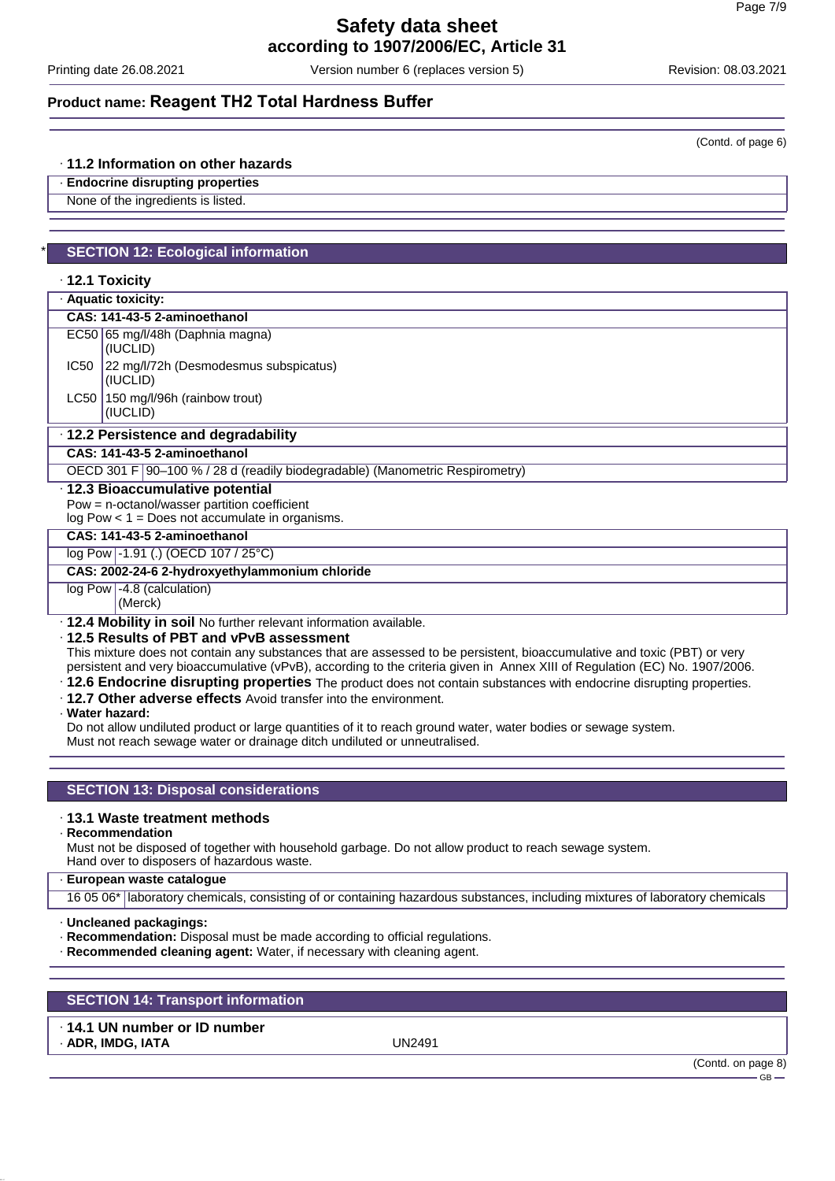Printing date 26.08.2021 Version number 6 (replaces version 5) Revision: 08.03.2021

# **Product name: Reagent TH2 Total Hardness Buffer**

#### · **11.2 Information on other hazards**

· **Endocrine disrupting properties**

None of the ingredients is listed.

# **SECTION 12: Ecological information**

#### · **12.1 Toxicity**

· **Aquatic toxicity:**

| CAS: 141-43-5 2-aminoethanol        |
|-------------------------------------|
| $FCE0$ $SE$ mall/48b (Daphnia magna |

| $ $ (IUCLID)                               |
|--------------------------------------------|
| IC50 22 mg/l/72h (Desmodesmus subspicatus) |
| (IUCLID)                                   |
| EC50   65 mg/l/48h (Daphnia magna)         |

#### · **12.2 Persistence and degradability**

**CAS: 141-43-5 2-aminoethanol**

OECD 301 F 90-100 % / 28 d (readily biodegradable) (Manometric Respirometry)

#### · **12.3 Bioaccumulative potential**

Pow = n-octanol/wasser partition coefficient

log Pow < 1 = Does not accumulate in organisms.

| CAS: 141-43-5 2-aminoethanol |                                     |  |
|------------------------------|-------------------------------------|--|
|                              | log Pow -1.91 (.) (OECD 107 / 25°C) |  |

# **CAS: 2002-24-6 2-hydroxyethylammonium chloride**

log Pow -4.8 (calculation)

(Merck)

· **12.4 Mobility in soil** No further relevant information available.

· **12.5 Results of PBT and vPvB assessment**

This mixture does not contain any substances that are assessed to be persistent, bioaccumulative and toxic (PBT) or very persistent and very bioaccumulative (vPvB), according to the criteria given in Annex XIII of Regulation (EC) No. 1907/2006.

- · **12.6 Endocrine disrupting properties** The product does not contain substances with endocrine disrupting properties.
- · **12.7 Other adverse effects** Avoid transfer into the environment.
- · **Water hazard:**

Do not allow undiluted product or large quantities of it to reach ground water, water bodies or sewage system.

Must not reach sewage water or drainage ditch undiluted or unneutralised.

### **SECTION 13: Disposal considerations**

#### · **13.1 Waste treatment methods**

· **Recommendation**

Must not be disposed of together with household garbage. Do not allow product to reach sewage system.

- Hand over to disposers of hazardous waste.
- · **European waste catalogue**

16 05 06\* laboratory chemicals, consisting of or containing hazardous substances, including mixtures of laboratory chemicals

- · **Uncleaned packagings:**
- · **Recommendation:** Disposal must be made according to official regulations.
- · **Recommended cleaning agent:** Water, if necessary with cleaning agent.

# **SECTION 14: Transport information**

# · **14.1 UN number or ID number**

· **ADR, IMDG, IATA** UN2491

(Contd. on page 8)



(Contd. of page 6)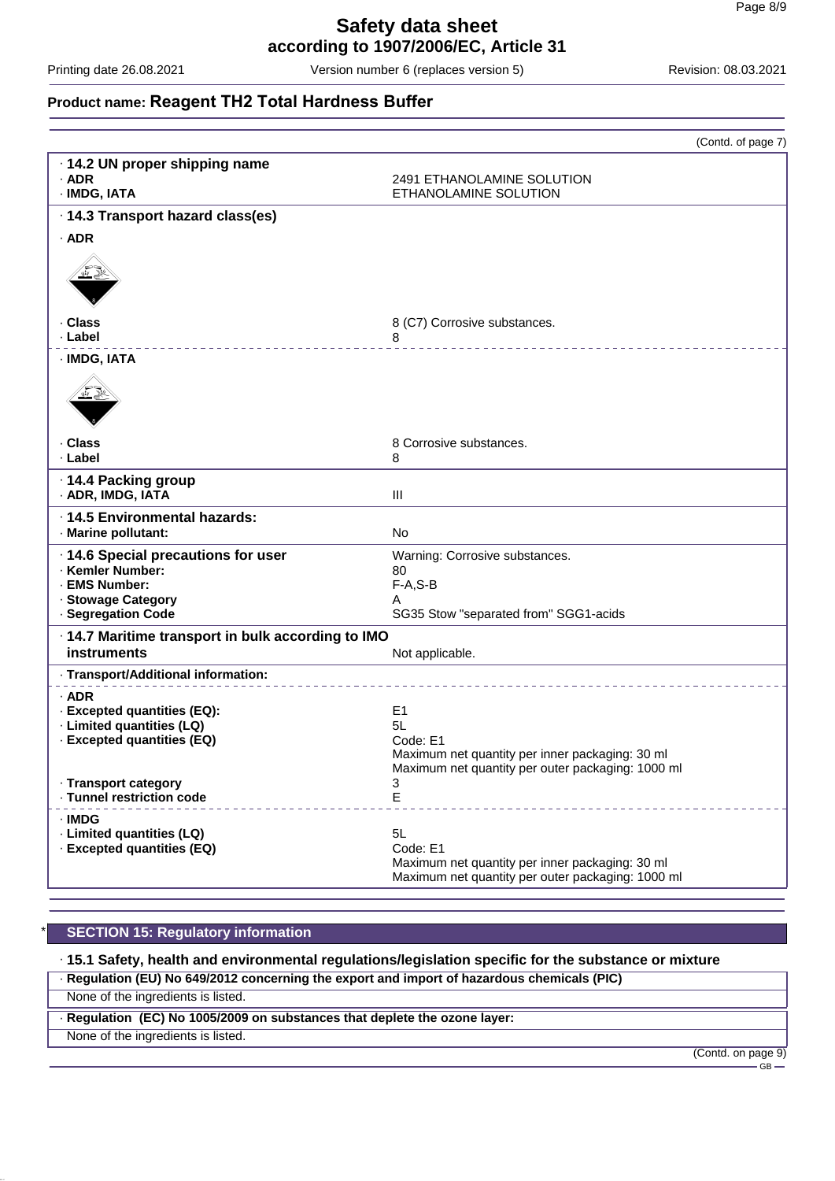Printing date 26.08.2021 Version number 6 (replaces version 5) Revision: 08.03.2021

# **Product name: Reagent TH2 Total Hardness Buffer**

|                                                                                                                      | (Contd. of page 7)                                                                                                           |
|----------------------------------------------------------------------------------------------------------------------|------------------------------------------------------------------------------------------------------------------------------|
| · 14.2 UN proper shipping name<br>$·$ ADR<br>· IMDG, IATA                                                            | 2491 ETHANOLAMINE SOLUTION<br>ETHANOLAMINE SOLUTION                                                                          |
| · 14.3 Transport hazard class(es)                                                                                    |                                                                                                                              |
| $·$ ADR                                                                                                              |                                                                                                                              |
| · Class<br>· Label                                                                                                   | 8 (C7) Corrosive substances.<br>8                                                                                            |
| · IMDG, IATA                                                                                                         |                                                                                                                              |
| . Class                                                                                                              | 8 Corrosive substances.                                                                                                      |
| · Label                                                                                                              | 8                                                                                                                            |
| ⋅14.4 Packing group<br>· ADR, IMDG, IATA                                                                             | Ш                                                                                                                            |
| · 14.5 Environmental hazards:<br>· Marine pollutant:                                                                 | <b>No</b>                                                                                                                    |
| · 14.6 Special precautions for user<br>· Kemler Number:<br>· EMS Number:<br>· Stowage Category<br>· Segregation Code | Warning: Corrosive substances.<br>80<br>$F-A, S-B$<br>Α<br>SG35 Stow "separated from" SGG1-acids                             |
| · 14.7 Maritime transport in bulk according to IMO<br><b>instruments</b>                                             | Not applicable.                                                                                                              |
| · Transport/Additional information:                                                                                  |                                                                                                                              |
| $·$ ADR<br>· Excepted quantities (EQ):<br>· Limited quantities (LQ)<br>· Excepted quantities (EQ)                    | E1<br>5L<br>Code: E1<br>Maximum net quantity per inner packaging: 30 ml<br>Maximum net quantity per outer packaging: 1000 ml |
| · Transport category<br>· Tunnel restriction code                                                                    | 3<br>E                                                                                                                       |
| · IMDG<br>· Limited quantities (LQ)<br>· Excepted quantities (EQ)                                                    | 5L<br>Code: E1<br>Maximum net quantity per inner packaging: 30 ml<br>Maximum net quantity per outer packaging: 1000 ml       |

# **SECTION 15: Regulatory information**

· **15.1 Safety, health and environmental regulations/legislation specific for the substance or mixture**

· **Regulation (EU) No 649/2012 concerning the export and import of hazardous chemicals (PIC)**

None of the ingredients is listed.

· **Regulation (EC) No 1005/2009 on substances that deplete the ozone layer:**

None of the ingredients is listed.

(Contd. on page 9)

 $-\bar{6}B$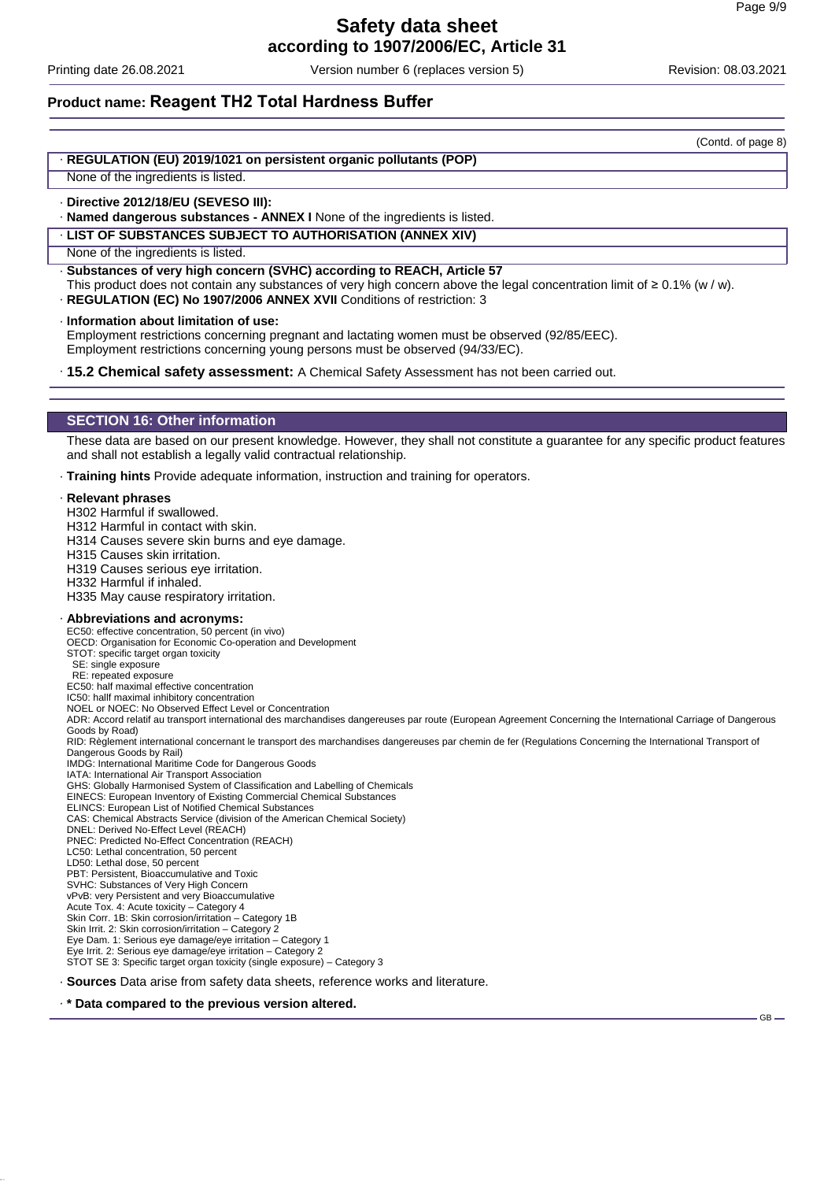Printing date 26.08.2021 Version number 6 (replaces version 5) Revision: 08.03.2021

(Contd. of page 8)

# **Product name: Reagent TH2 Total Hardness Buffer**

· **REGULATION (EU) 2019/1021 on persistent organic pollutants (POP)**

None of the ingredients is listed.

· **Directive 2012/18/EU (SEVESO III):**

· **Named dangerous substances - ANNEX I** None of the ingredients is listed.

· **LIST OF SUBSTANCES SUBJECT TO AUTHORISATION (ANNEX XIV)**

· **Substances of very high concern (SVHC) according to REACH, Article 57**

- This product does not contain any substances of very high concern above the legal concentration limit of ≥ 0.1% (w / w).
- · **REGULATION (EC) No 1907/2006 ANNEX XVII** Conditions of restriction: 3

· **Information about limitation of use:**

Employment restrictions concerning pregnant and lactating women must be observed (92/85/EEC). Employment restrictions concerning young persons must be observed (94/33/EC).

· **15.2 Chemical safety assessment:** A Chemical Safety Assessment has not been carried out.

#### **SECTION 16: Other information**

These data are based on our present knowledge. However, they shall not constitute a guarantee for any specific product features and shall not establish a legally valid contractual relationship.

· **Training hints** Provide adequate information, instruction and training for operators.

#### · **Relevant phrases**

H302 Harmful if swallowed.

H312 Harmful in contact with skin.

- H314 Causes severe skin burns and eye damage.
- H315 Causes skin irritation.
- H319 Causes serious eye irritation.
- H332 Harmful if inhaled.

H335 May cause respiratory irritation.

#### · **Abbreviations and acronyms:**

EC50: effective concentration, 50 percent (in vivo) OECD: Organisation for Economic Co-operation and Development

- STOT: specific target organ toxicity
- SE: single exposure

RE: repeated exposure EC50: half maximal effective concentration

IC50: hallf maximal inhibitory concentration

NOEL or NOEC: No Observed Effect Level or Concentration

ADR: Accord relatif au transport international des marchandises dangereuses par route (European Agreement Concerning the International Carriage of Dangerous Goods by Road)

RID: Règlement international concernant le transport des marchandises dangereuses par chemin de fer (Regulations Concerning the International Transport of Dangerous Goods by Rail)

IMDG: International Maritime Code for Dangerous Goods

IATA: International Air Transport Association

GHS: Globally Harmonised System of Classification and Labelling of Chemicals

- EINECS: European Inventory of Existing Commercial Chemical Substances ELINCS: European List of Notified Chemical Substances
- CAS: Chemical Abstracts Service (division of the American Chemical Society)
- DNEL: Derived No-Effect Level (REACH)

PNEC: Predicted No-Effect Concentration (REACH)

- LC50: Lethal concentration, 50 percent
- LD50: Lethal dose, 50 percent
- PBT: Persistent, Bioaccumulative and Toxic
- SVHC: Substances of Very High Concern vPvB: very Persistent and very Bioaccumulative
- 
- Acute Tox. 4: Acute toxicity Category 4 Skin Corr. 1B: Skin corrosion/irritation Category 1B

Skin Irrit. 2: Skin corrosion/irritation - Category 2

Eye Dam. 1: Serious eye damage/eye irritation – Category 1

Eye Irrit. 2: Serious eye damage/eye irritation – Category 2 STOT SE 3: Specific target organ toxicity (single exposure) – Category 3

· **Sources** Data arise from safety data sheets, reference works and literature.

#### · **\* Data compared to the previous version altered.**

None of the ingredients is listed.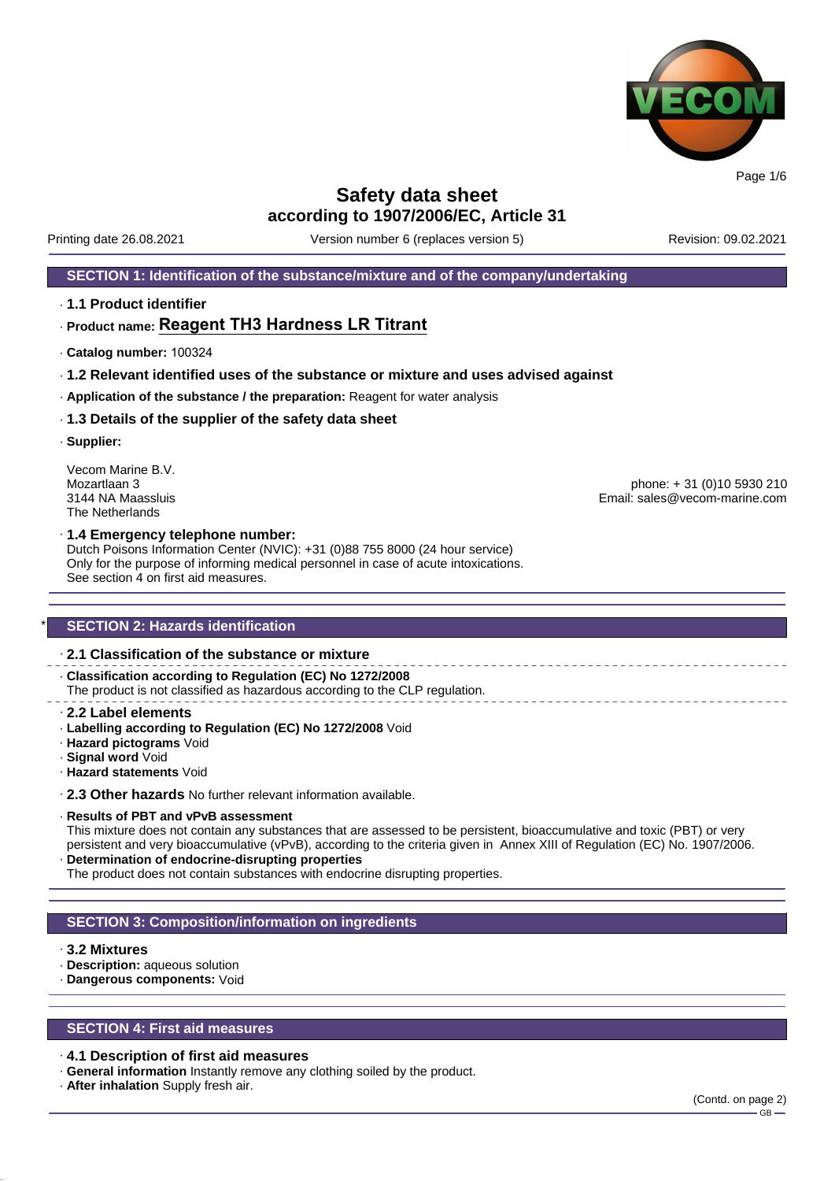

**Safety data sheet**

**according to 1907/2006/EC, Article 31**

Printing date 26.08.2021 Version number 6 (replaces version 5) Revision: 09.02.2021

#### **SECTION 1: Identification of the substance/mixture and of the company/undertaking**

· **1.1 Product identifier**

# · **Product name: Reagent TH3 Hardness LR Titrant**

- · **Catalog number:** 100324
- · **1.2 Relevant identified uses of the substance or mixture and uses advised against**
- · **Application of the substance / the preparation:** Reagent for water analysis
- · **1.3 Details of the supplier of the safety data sheet**
- · **Supplier:**

Vecom Marine B.V.<br>Mozartlaan 3 The Netherlands

Mozartlaan 3 phone: + 31 (0)10 5930 210 Email: sales@vecom-marine.com

#### · **1.4 Emergency telephone number:**

Dutch Poisons Information Center (NVIC): +31 (0)88 755 8000 (24 hour service) Only for the purpose of informing medical personnel in case of acute intoxications. See section 4 on first aid measures.

#### **SECTION 2: Hazards identification**

#### · **2.1 Classification of the substance or mixture**

· **Classification according to Regulation (EC) No 1272/2008** The product is not classified as hazardous according to the CLP regulation.

- · **2.2 Label elements**
- · **Labelling according to Regulation (EC) No 1272/2008** Void
- · **Hazard pictograms** Void
- · **Signal word** Void
- · **Hazard statements** Void

· **2.3 Other hazards** No further relevant information available.

#### · **Results of PBT and vPvB assessment**

This mixture does not contain any substances that are assessed to be persistent, bioaccumulative and toxic (PBT) or very persistent and very bioaccumulative (vPvB), according to the criteria given in Annex XIII of Regulation (EC) No. 1907/2006. · **Determination of endocrine-disrupting properties**

The product does not contain substances with endocrine disrupting properties.

#### **SECTION 3: Composition/information on ingredients**

#### · **3.2 Mixtures**

- · **Description:** aqueous solution
- · **Dangerous components:** Void

#### **SECTION 4: First aid measures**

#### · **4.1 Description of first aid measures**

- · **General information** Instantly remove any clothing soiled by the product.
- · **After inhalation** Supply fresh air.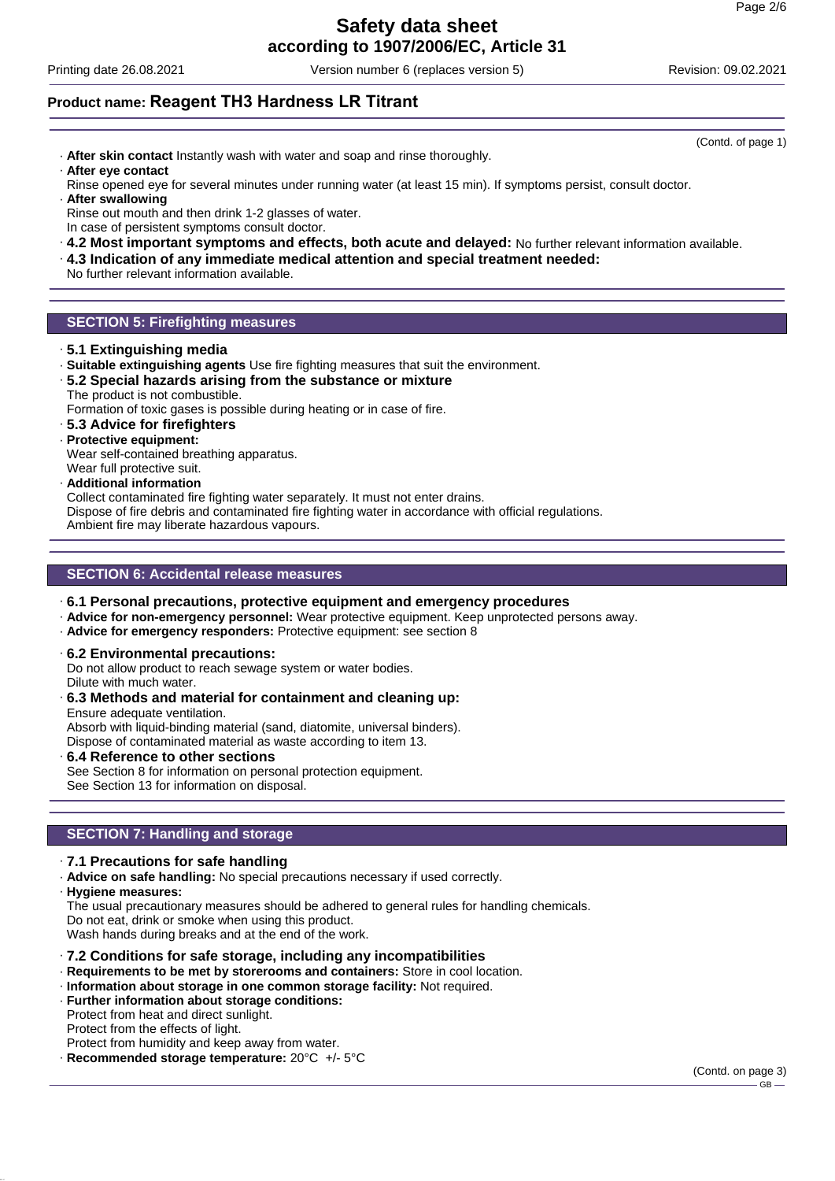# **Safety data sheet**

**according to 1907/2006/EC, Article 31**

Printing date 26.08.2021 Version number 6 (replaces version 5) Revision: 09.02.2021

# **Product name: Reagent TH3 Hardness LR Titrant**

- · **After skin contact** Instantly wash with water and soap and rinse thoroughly. · **After eye contact**
- Rinse opened eye for several minutes under running water (at least 15 min). If symptoms persist, consult doctor.
- · **After swallowing** Rinse out mouth and then drink 1-2 glasses of water. In case of persistent symptoms consult doctor.
- · **4.2 Most important symptoms and effects, both acute and delayed:** No further relevant information available.
- · **4.3 Indication of any immediate medical attention and special treatment needed:**
- No further relevant information available.

### **SECTION 5: Firefighting measures**

- · **5.1 Extinguishing media**
- · **Suitable extinguishing agents** Use fire fighting measures that suit the environment.
- · **5.2 Special hazards arising from the substance or mixture** The product is not combustible.

Formation of toxic gases is possible during heating or in case of fire.

- · **5.3 Advice for firefighters**
- · **Protective equipment:**
- Wear self-contained breathing apparatus.
- Wear full protective suit.
- · **Additional information**

Collect contaminated fire fighting water separately. It must not enter drains.

Dispose of fire debris and contaminated fire fighting water in accordance with official regulations. Ambient fire may liberate hazardous vapours.

#### **SECTION 6: Accidental release measures**

- · **6.1 Personal precautions, protective equipment and emergency procedures**
- · **Advice for non-emergency personnel:** Wear protective equipment. Keep unprotected persons away.
- · **Advice for emergency responders:** Protective equipment: see section 8
- · **6.2 Environmental precautions:**

Do not allow product to reach sewage system or water bodies. Dilute with much water.

· **6.3 Methods and material for containment and cleaning up:** Ensure adequate ventilation.

Absorb with liquid-binding material (sand, diatomite, universal binders). Dispose of contaminated material as waste according to item 13.

# · **6.4 Reference to other sections**

See Section 8 for information on personal protection equipment. See Section 13 for information on disposal.

### **SECTION 7: Handling and storage**

· **7.1 Precautions for safe handling**

· **Advice on safe handling:** No special precautions necessary if used correctly.

· **Hygiene measures:**

The usual precautionary measures should be adhered to general rules for handling chemicals. Do not eat, drink or smoke when using this product. Wash hands during breaks and at the end of the work.

- · **7.2 Conditions for safe storage, including any incompatibilities**
- · **Requirements to be met by storerooms and containers:** Store in cool location.
- · **Information about storage in one common storage facility:** Not required.
- · **Further information about storage conditions:**

Protect from heat and direct sunlight. Protect from the effects of light.

Protect from humidity and keep away from water.

· **Recommended storage temperature:** 20°C +/- 5°C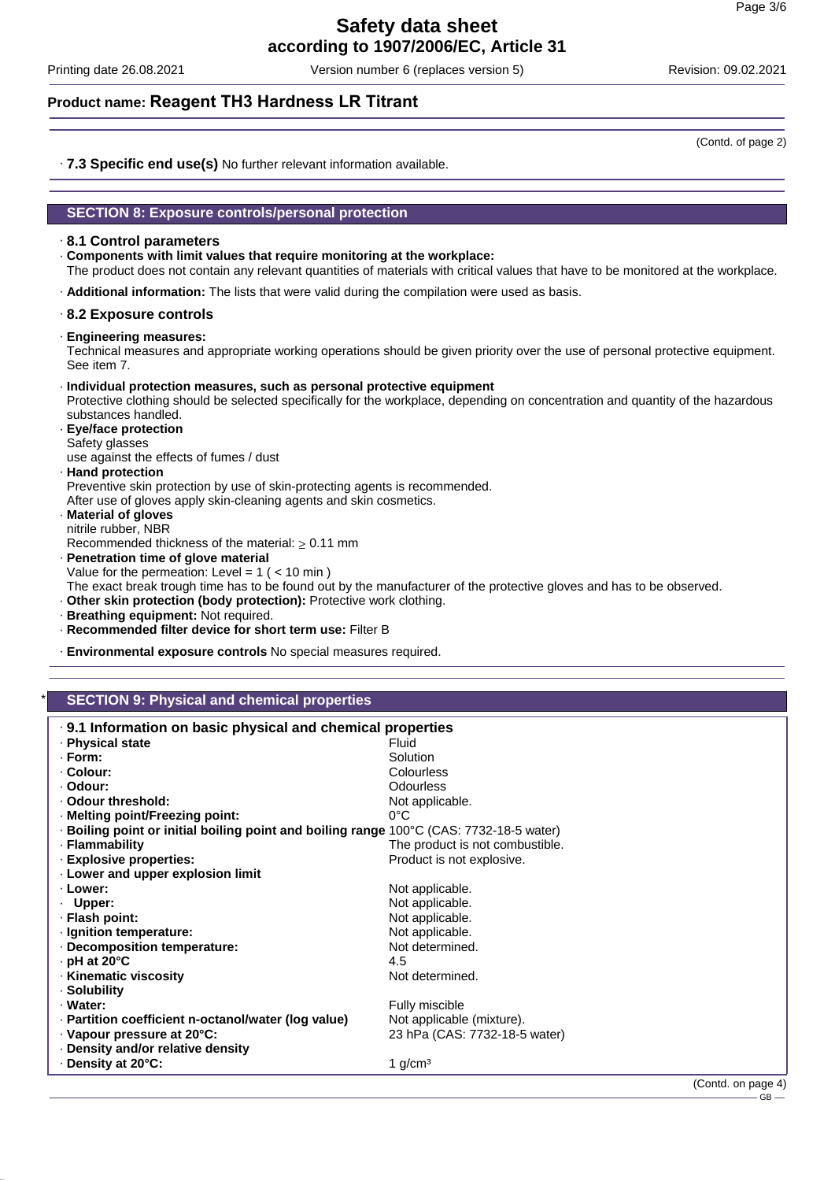Printing date 26.08.2021 Version number 6 (replaces version 5) Revision: 09.02.2021

# **Product name: Reagent TH3 Hardness LR Titrant**

(Contd. of page 2)

· **7.3 Specific end use(s)** No further relevant information available.

#### **SECTION 8: Exposure controls/personal protection**

#### · **8.1 Control parameters**

· **Components with limit values that require monitoring at the workplace:**

The product does not contain any relevant quantities of materials with critical values that have to be monitored at the workplace.

· **Additional information:** The lists that were valid during the compilation were used as basis.

#### · **8.2 Exposure controls**

· **Engineering measures:**

Technical measures and appropriate working operations should be given priority over the use of personal protective equipment. See item 7.

#### · **Individual protection measures, such as personal protective equipment**

Protective clothing should be selected specifically for the workplace, depending on concentration and quantity of the hazardous substances handled.

· **Eye/face protection** Safety glasses

use against the effects of fumes / dust

# · **Hand protection**

Preventive skin protection by use of skin-protecting agents is recommended. After use of gloves apply skin-cleaning agents and skin cosmetics.

· **Material of gloves** nitrile rubber, NBR

Recommended thickness of the material:  $\geq 0.11$  mm

· **Penetration time of glove material**

Value for the permeation: Level =  $1$  ( <  $10$  min )

- The exact break trough time has to be found out by the manufacturer of the protective gloves and has to be observed.
- · **Other skin protection (body protection):** Protective work clothing.
- · **Breathing equipment:** Not required.
- · **Recommended filter device for short term use:** Filter B
- · **Environmental exposure controls** No special measures required.

#### **SECTION 9: Physical and chemical properties**

| . 9.1 Information on basic physical and chemical properties                             |                                 |  |
|-----------------------------------------------------------------------------------------|---------------------------------|--|
| · Physical state                                                                        | Fluid                           |  |
| $\cdot$ Form:                                                                           | Solution                        |  |
| ⋅ Colour:                                                                               | Colourless                      |  |
| · Odour:                                                                                | <b>Odourless</b>                |  |
| . Odour threshold:                                                                      | Not applicable.                 |  |
| · Melting point/Freezing point:                                                         | $0^{\circ}$ C                   |  |
| ⋅ Boiling point or initial boiling point and boiling range 100°C (CAS: 7732-18-5 water) |                                 |  |
| · Flammability                                                                          | The product is not combustible. |  |
| · Explosive properties:                                                                 | Product is not explosive.       |  |
| · Lower and upper explosion limit                                                       |                                 |  |
| · Lower:                                                                                | Not applicable.                 |  |
| $\cdot$ Upper:                                                                          | Not applicable.                 |  |
| · Flash point:                                                                          | Not applicable.                 |  |
| · Ignition temperature:                                                                 | Not applicable.                 |  |
| Decomposition temperature:                                                              | Not determined.                 |  |
| $\cdot$ pH at 20 $\degree$ C                                                            | 4.5                             |  |
| · Kinematic viscosity                                                                   | Not determined.                 |  |
| · Solubility                                                                            |                                 |  |
| · Water:                                                                                | Fully miscible                  |  |
| · Partition coefficient n-octanol/water (log value)                                     | Not applicable (mixture).       |  |
| Vapour pressure at 20°C:                                                                | 23 hPa (CAS: 7732-18-5 water)   |  |
| Density and/or relative density                                                         |                                 |  |
| ⋅ Density at 20°C:                                                                      | 1 $q/cm3$                       |  |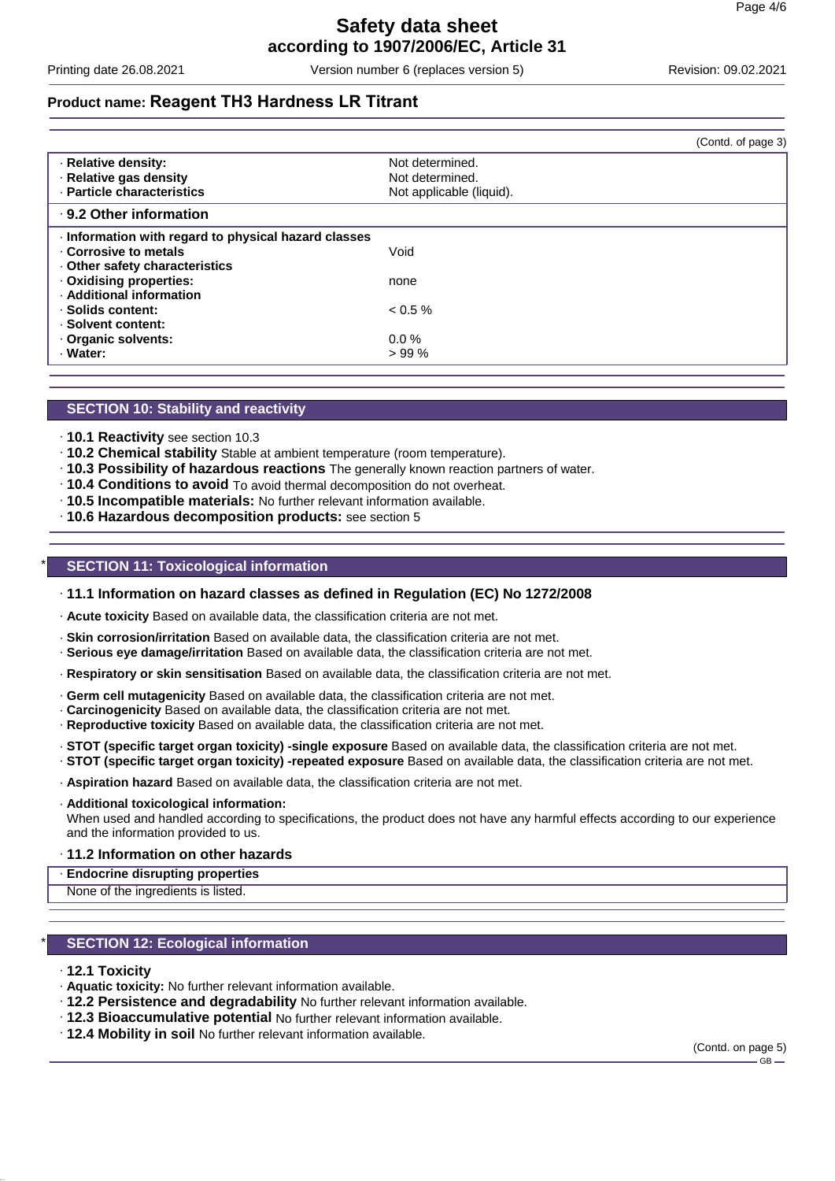Printing date 26.08.2021 Version number 6 (replaces version 5) Revision: 09.02.2021

# **Product name: Reagent TH3 Hardness LR Titrant**

|                                                      | (Contd. of page 3)       |
|------------------------------------------------------|--------------------------|
| · Relative density:                                  | Not determined.          |
| · Relative gas density                               | Not determined.          |
| · Particle characteristics                           | Not applicable (liquid). |
| ⋅ 9.2 Other information                              |                          |
| · Information with regard to physical hazard classes |                          |
| Corrosive to metals                                  | Void                     |
| Other safety characteristics                         |                          |
| · Oxidising properties:                              | none                     |
| · Additional information                             |                          |
| · Solids content:                                    | $0.5\%$                  |
| · Solvent content:                                   |                          |
| Organic solvents:                                    | $0.0\%$                  |
| · Water:                                             | >99%                     |

#### **SECTION 10: Stability and reactivity**

- · **10.1 Reactivity** see section 10.3
- · **10.2 Chemical stability** Stable at ambient temperature (room temperature).
- · **10.3 Possibility of hazardous reactions** The generally known reaction partners of water.
- · **10.4 Conditions to avoid** To avoid thermal decomposition do not overheat.
- · **10.5 Incompatible materials:** No further relevant information available.
- · **10.6 Hazardous decomposition products:** see section 5

#### **SECTION 11: Toxicological information**

#### · **11.1 Information on hazard classes as defined in Regulation (EC) No 1272/2008**

· **Acute toxicity** Based on available data, the classification criteria are not met.

- · **Skin corrosion/irritation** Based on available data, the classification criteria are not met.
- · **Serious eye damage/irritation** Based on available data, the classification criteria are not met.
- · **Respiratory or skin sensitisation** Based on available data, the classification criteria are not met.
- · **Germ cell mutagenicity** Based on available data, the classification criteria are not met.
- · **Carcinogenicity** Based on available data, the classification criteria are not met.
- · **Reproductive toxicity** Based on available data, the classification criteria are not met.
- · **STOT (specific target organ toxicity) -single exposure** Based on available data, the classification criteria are not met. · **STOT (specific target organ toxicity) -repeated exposure** Based on available data, the classification criteria are not met.
- · **Aspiration hazard** Based on available data, the classification criteria are not met.
- · **Additional toxicological information:**

When used and handled according to specifications, the product does not have any harmful effects according to our experience and the information provided to us.

#### · **11.2 Information on other hazards**

#### · **Endocrine disrupting properties**

None of the ingredients is listed.

#### **SECTION 12: Ecological information**

#### · **12.1 Toxicity**

- · **Aquatic toxicity:** No further relevant information available.
- · **12.2 Persistence and degradability** No further relevant information available.
- · **12.3 Bioaccumulative potential** No further relevant information available.
- · **12.4 Mobility in soil** No further relevant information available.

(Contd. on page 5)  $-GR-$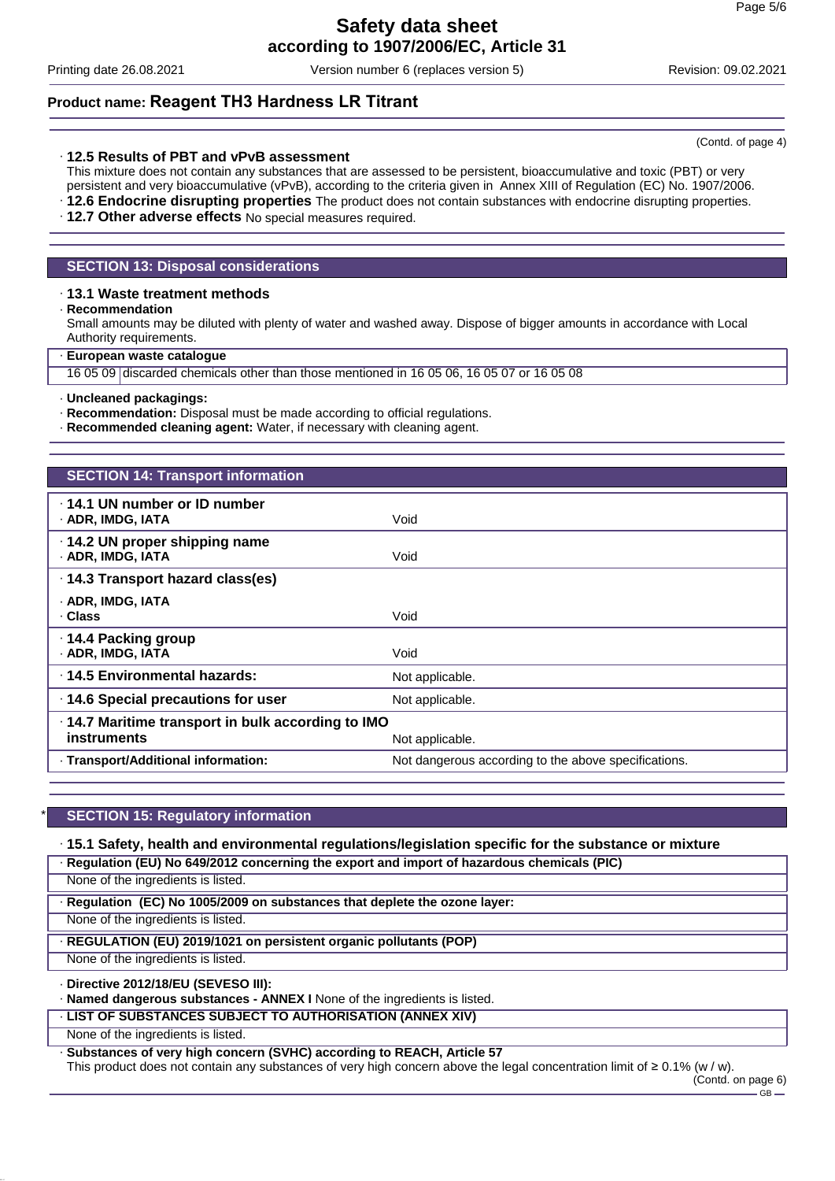Printing date 26.08.2021 Version number 6 (replaces version 5) Revision: 09.02.2021

# **Product name: Reagent TH3 Hardness LR Titrant**

#### · **12.5 Results of PBT and vPvB assessment**

This mixture does not contain any substances that are assessed to be persistent, bioaccumulative and toxic (PBT) or very persistent and very bioaccumulative (vPvB), according to the criteria given in Annex XIII of Regulation (EC) No. 1907/2006.

· **12.6 Endocrine disrupting properties** The product does not contain substances with endocrine disrupting properties.

· **12.7 Other adverse effects** No special measures required.

#### **SECTION 13: Disposal considerations**

#### · **13.1 Waste treatment methods**

· **Recommendation**

Small amounts may be diluted with plenty of water and washed away. Dispose of bigger amounts in accordance with Local Authority requirements.

#### · **European waste catalogue**

16 05 09 discarded chemicals other than those mentioned in 16 05 06, 16 05 07 or 16 05 08

#### · **Uncleaned packagings:**

· **Recommendation:** Disposal must be made according to official regulations.

· **Recommended cleaning agent:** Water, if necessary with cleaning agent.

| <b>SECTION 14: Transport information</b>                                                   |                                                      |  |
|--------------------------------------------------------------------------------------------|------------------------------------------------------|--|
| $\cdot$ 14.1 UN number or ID number<br>· ADR, IMDG, IATA                                   | Void                                                 |  |
| $\cdot$ 14.2 UN proper shipping name<br>· ADR, IMDG, IATA                                  | Void                                                 |  |
| · 14.3 Transport hazard class(es)                                                          |                                                      |  |
| · ADR, IMDG, IATA<br>· Class                                                               | Void                                                 |  |
| · 14.4 Packing group<br>· ADR, IMDG, IATA                                                  | Void                                                 |  |
| ⋅14.5 Environmental hazards:                                                               | Not applicable.                                      |  |
| 14.6 Special precautions for user                                                          | Not applicable.                                      |  |
| .14.7 Maritime transport in bulk according to IMO<br><b>instruments</b><br>Not applicable. |                                                      |  |
| · Transport/Additional information:                                                        | Not dangerous according to the above specifications. |  |

### **SECTION 15: Regulatory information**

#### · **15.1 Safety, health and environmental regulations/legislation specific for the substance or mixture**

· **Regulation (EU) No 649/2012 concerning the export and import of hazardous chemicals (PIC)**

None of the ingredients is listed.

· **Regulation (EC) No 1005/2009 on substances that deplete the ozone layer:**

None of the ingredients is listed.

#### · **REGULATION (EU) 2019/1021 on persistent organic pollutants (POP)**

None of the ingredients is listed.

#### · **Directive 2012/18/EU (SEVESO III):**

· **Named dangerous substances - ANNEX I** None of the ingredients is listed.

#### · **LIST OF SUBSTANCES SUBJECT TO AUTHORISATION (ANNEX XIV)**

None of the ingredients is listed.

· **Substances of very high concern (SVHC) according to REACH, Article 57**

This product does not contain any substances of very high concern above the legal concentration limit of ≥ 0.1% (w / w).

(Contd. on page 6)  $-$  GB  $\cdot$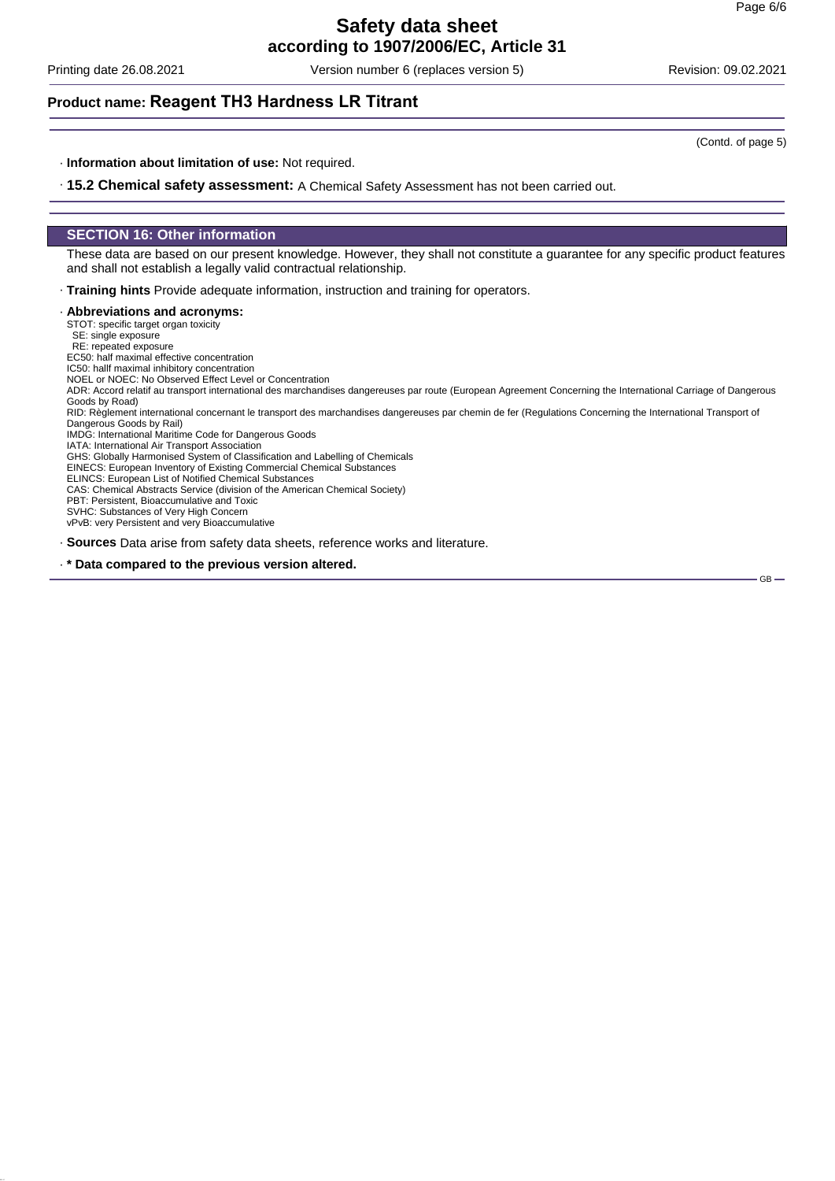Printing date 26.08.2021 Version number 6 (replaces version 5) Revision: 09.02.2021

## **Product name: Reagent TH3 Hardness LR Titrant**

· **Information about limitation of use:** Not required.

· **15.2 Chemical safety assessment:** A Chemical Safety Assessment has not been carried out.

#### **SECTION 16: Other information**

These data are based on our present knowledge. However, they shall not constitute a guarantee for any specific product features and shall not establish a legally valid contractual relationship.

· **Training hints** Provide adequate information, instruction and training for operators.

#### · **Abbreviations and acronyms:**

STOT: specific target organ toxicity SE: single exposure

RE: repeated exposure

EC50: half maximal effective concentration

IC50: hallf maximal inhibitory concentration

NOEL or NOEC: No Observed Effect Level or Concentration

ADR: Accord relatif au transport international des marchandises dangereuses par route (European Agreement Concerning the International Carriage of Dangerous Goods by Road)

RID: Règlement international concernant le transport des marchandises dangereuses par chemin de fer (Regulations Concerning the International Transport of Dangerous Goods by Rail)

IMDG: International Maritime Code for Dangerous Goods

IATA: International Air Transport Association

GHS: Globally Harmonised System of Classification and Labelling of Chemicals

EINECS: European Inventory of Existing Commercial Chemical Substances

ELINCS: European List of Notified Chemical Substances

CAS: Chemical Abstracts Service (division of the American Chemical Society)

PBT: Persistent, Bioaccumulative and Toxic SVHC: Substances of Very High Concern

vPvB: very Persistent and very Bioaccumulative

· **Sources** Data arise from safety data sheets, reference works and literature.

· **\* Data compared to the previous version altered.**

GB

(Contd. of page 5)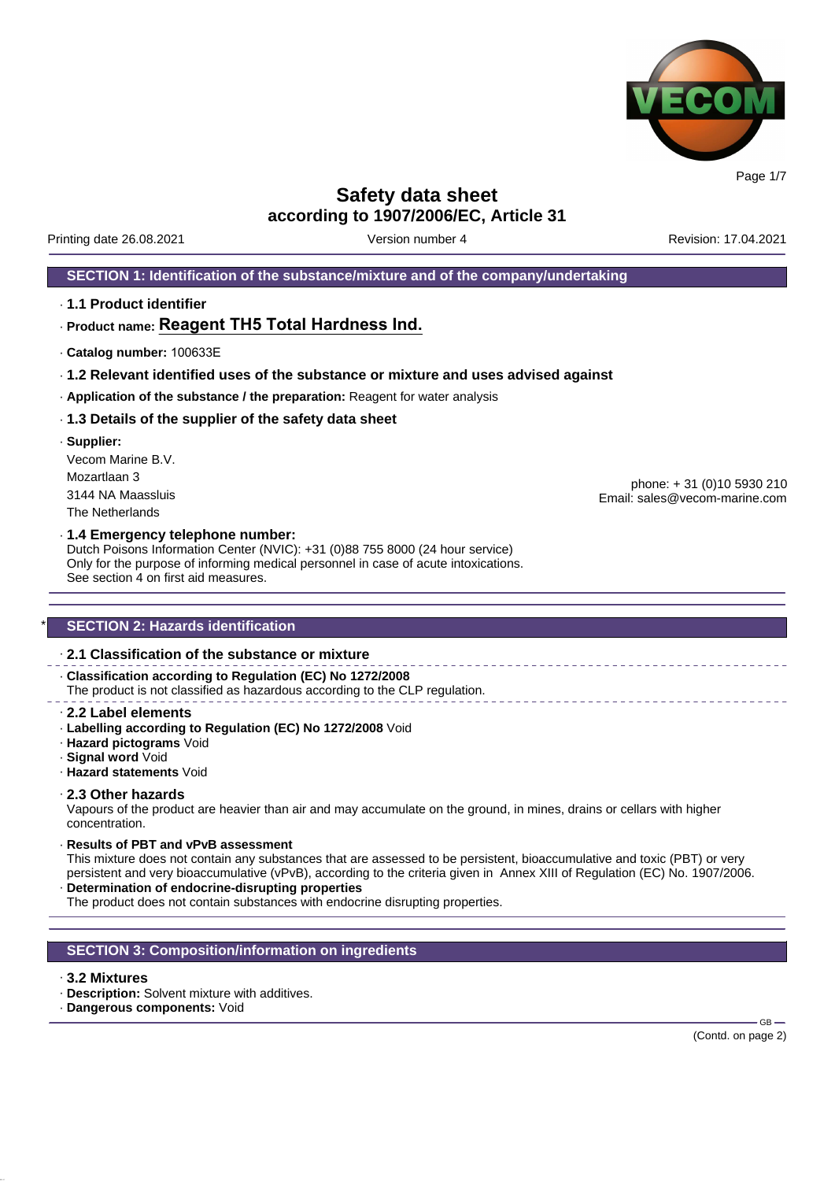

**Safety data sheet**

**according to 1907/2006/EC, Article 31**

Printing date 26.08.2021 **Version number 4** Account 2001 17.04.2021 **Revision: 17.04.2021** 

#### **SECTION 1: Identification of the substance/mixture and of the company/undertaking**

· **1.1 Product identifier**

# · **Product name: Reagent TH5 Total Hardness Ind.**

- · **Catalog number:** 100633E
- · **1.2 Relevant identified uses of the substance or mixture and uses advised against**
- · **Application of the substance / the preparation:** Reagent for water analysis

#### · **1.3 Details of the supplier of the safety data sheet**

· **Supplier:** Vecom Marine B.V. Mozartlaan 3 3144 NA Maassluis The Netherlands

phone: + 31 (0)10 5930 210 Email: sales@vecom-marine.com

#### · **1.4 Emergency telephone number:**

Dutch Poisons Information Center (NVIC): +31 (0)88 755 8000 (24 hour service) Only for the purpose of informing medical personnel in case of acute intoxications. See section 4 on first aid measures.

#### **SECTION 2: Hazards identification**

#### · **2.1 Classification of the substance or mixture**

· **Classification according to Regulation (EC) No 1272/2008** The product is not classified as hazardous according to the CLP regulation.

- · **2.2 Label elements**
- · **Labelling according to Regulation (EC) No 1272/2008** Void
- · **Hazard pictograms** Void
- · **Signal word** Void
- · **Hazard statements** Void

#### · **2.3 Other hazards**

Vapours of the product are heavier than air and may accumulate on the ground, in mines, drains or cellars with higher concentration.

· **Results of PBT and vPvB assessment**

This mixture does not contain any substances that are assessed to be persistent, bioaccumulative and toxic (PBT) or very persistent and very bioaccumulative (vPvB), according to the criteria given in Annex XIII of Regulation (EC) No. 1907/2006. · **Determination of endocrine-disrupting properties**

The product does not contain substances with endocrine disrupting properties.

#### **SECTION 3: Composition/information on ingredients**

#### · **3.2 Mixtures**

- · **Description:** Solvent mixture with additives.
- · **Dangerous components:** Void

GB-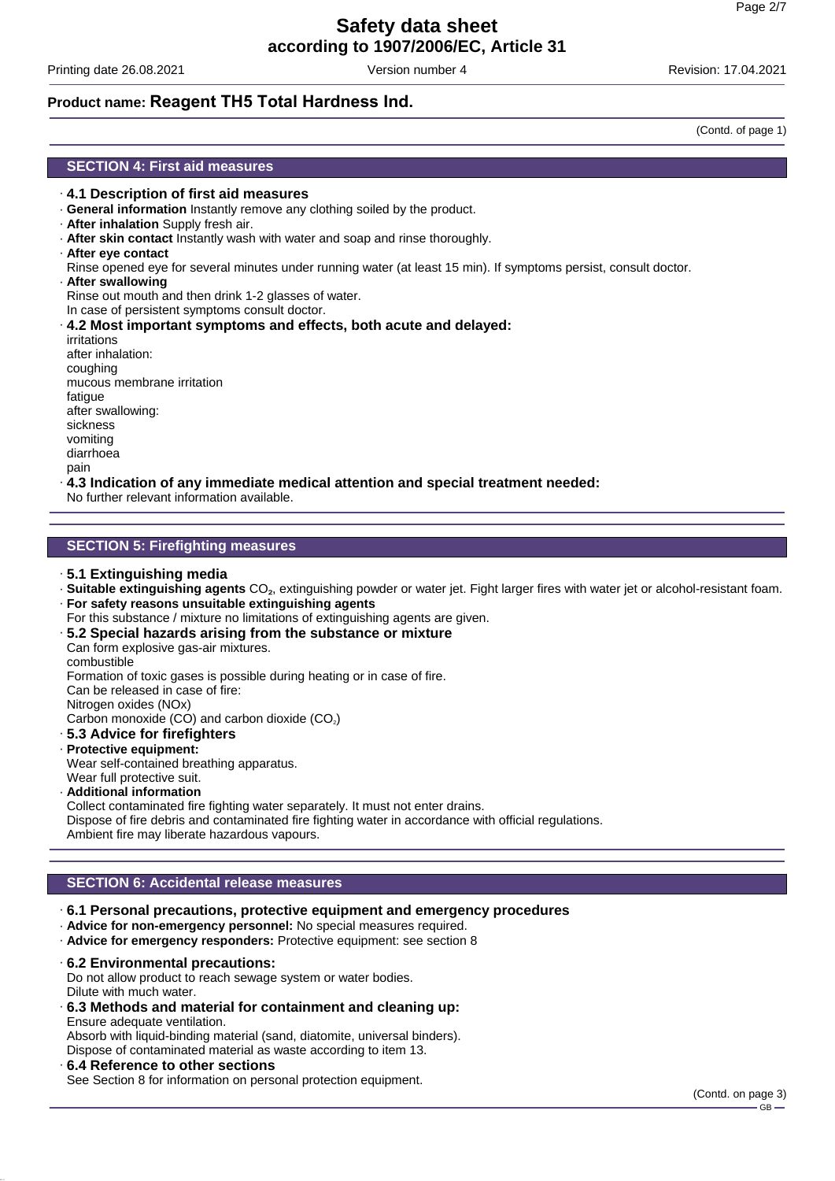Printing date 26.08.2021 **Version number 4** According date 26.08.2021 **Printing date 26.08.2021 Revision: 17.04.2021** 

# **Product name: Reagent TH5 Total Hardness Ind.**

**SECTION 4: First aid measures**

- · **4.1 Description of first aid measures**
- · **General information** Instantly remove any clothing soiled by the product.
- · **After inhalation** Supply fresh air.
- · **After skin contact** Instantly wash with water and soap and rinse thoroughly.
- · **After eye contact**
- Rinse opened eye for several minutes under running water (at least 15 min). If symptoms persist, consult doctor.
- · **After swallowing**

Rinse out mouth and then drink 1-2 glasses of water.

In case of persistent symptoms consult doctor.

· **4.2 Most important symptoms and effects, both acute and delayed:** irritations after inhalation: coughing mucous membrane irritation fatique after swallowing: sickness vomiting diarrhoea pain

#### · **4.3 Indication of any immediate medical attention and special treatment needed:**

No further relevant information available.

#### **SECTION 5: Firefighting measures**

- · **5.1 Extinguishing media**
- · **Suitable extinguishing agents** CO₂, extinguishing powder or water jet. Fight larger fires with water jet or alcohol-resistant foam.
- · **For safety reasons unsuitable extinguishing agents**
- For this substance / mixture no limitations of extinguishing agents are given.

#### · **5.2 Special hazards arising from the substance or mixture**

Can form explosive gas-air mixtures.

combustible

Formation of toxic gases is possible during heating or in case of fire.

Can be released in case of fire:

Nitrogen oxides (NOx)

Carbon monoxide (CO) and carbon dioxide (CO<sub>2</sub>)

- · **5.3 Advice for firefighters**
- · **Protective equipment:**

Wear self-contained breathing apparatus. Wear full protective suit.

· **Additional information**

Collect contaminated fire fighting water separately. It must not enter drains. Dispose of fire debris and contaminated fire fighting water in accordance with official regulations. Ambient fire may liberate hazardous vapours.

#### **SECTION 6: Accidental release measures**

- · **6.1 Personal precautions, protective equipment and emergency procedures**
- · **Advice for non-emergency personnel:** No special measures required.
- · **Advice for emergency responders:** Protective equipment: see section 8

· **6.2 Environmental precautions:**

Do not allow product to reach sewage system or water bodies.

Dilute with much water. · **6.3 Methods and material for containment and cleaning up:** Ensure adequate ventilation.

Absorb with liquid-binding material (sand, diatomite, universal binders). Dispose of contaminated material as waste according to item 13.

#### · **6.4 Reference to other sections**

See Section 8 for information on personal protection equipment.

(Contd. of page 1)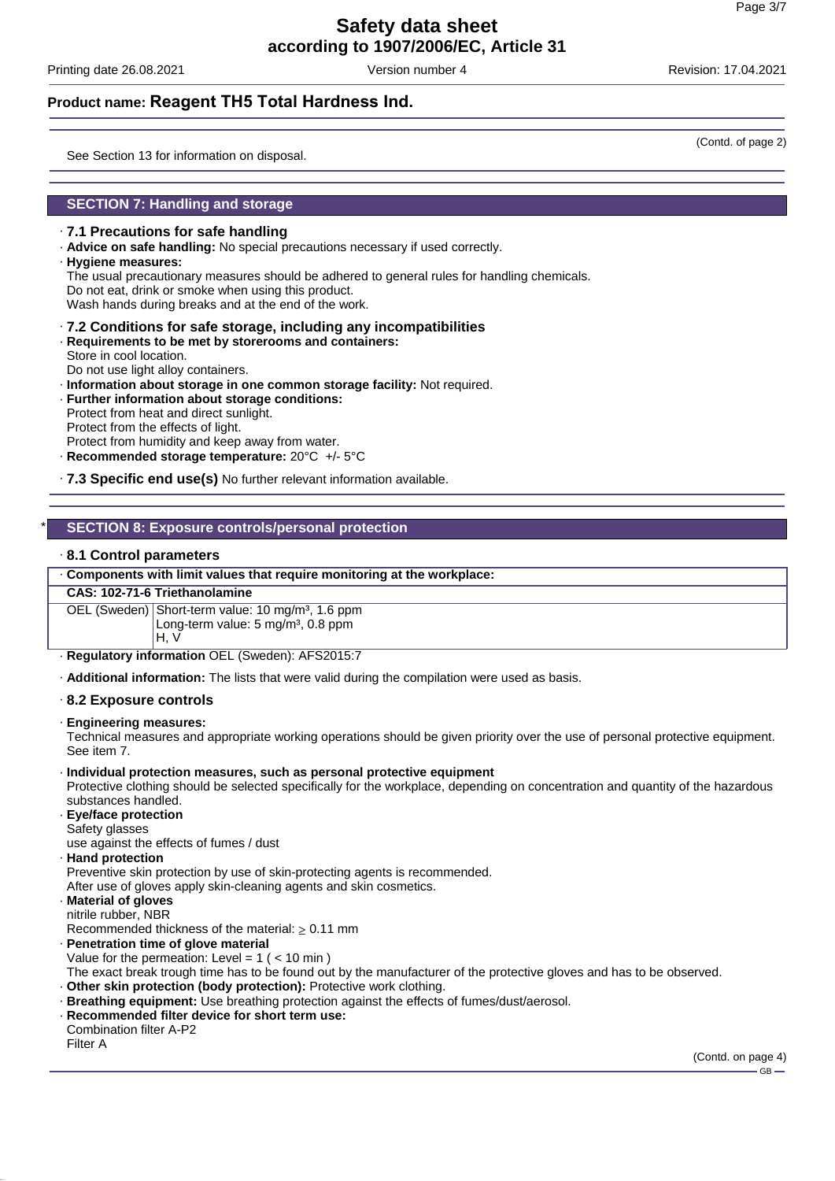Printing date 26.08.2021 **Version number 4** According date 26.08.2021 **Printing date 26.08.2021 Revision: 17.04.2021** 

(Contd. of page 2)

### **Product name: Reagent TH5 Total Hardness Ind.**

See Section 13 for information on disposal.

#### **SECTION 7: Handling and storage**

#### · **7.1 Precautions for safe handling**

· **Advice on safe handling:** No special precautions necessary if used correctly.

· **Hygiene measures:**

The usual precautionary measures should be adhered to general rules for handling chemicals. Do not eat, drink or smoke when using this product.

Wash hands during breaks and at the end of the work.

#### · **7.2 Conditions for safe storage, including any incompatibilities**

- · **Requirements to be met by storerooms and containers:** Store in cool location.
- Do not use light alloy containers.
- · **Information about storage in one common storage facility:** Not required.
- · **Further information about storage conditions:**

Protect from heat and direct sunlight. Protect from the effects of light.

- Protect from humidity and keep away from water.
- · **Recommended storage temperature:** 20°C +/- 5°C

· **7.3 Specific end use(s)** No further relevant information available.

#### \* **SECTION 8: Exposure controls/personal protection**

#### · **8.1 Control parameters**

#### · **Components with limit values that require monitoring at the workplace:**

#### **CAS: 102-71-6 Triethanolamine**

OEL (Sweden) Short-term value: 10 mg/m<sup>3</sup>, 1.6 ppm Long-term value: 5 mg/m<sup>3</sup>, 0.8 ppm H, V

· **Regulatory information** OEL (Sweden): AFS2015:7

· **Additional information:** The lists that were valid during the compilation were used as basis.

#### · **8.2 Exposure controls**

#### · **Engineering measures:**

Technical measures and appropriate working operations should be given priority over the use of personal protective equipment. See item 7.

· **Individual protection measures, such as personal protective equipment**

Protective clothing should be selected specifically for the workplace, depending on concentration and quantity of the hazardous substances handled.

- · **Eye/face protection** Safety glasses use against the effects of fumes / dust
- · **Hand protection**

Preventive skin protection by use of skin-protecting agents is recommended.

After use of gloves apply skin-cleaning agents and skin cosmetics.

#### · **Material of gloves** nitrile rubber, NBR

Recommended thickness of the material:  $\geq 0.11$  mm

· **Penetration time of glove material** Value for the permeation: Level =  $1$  ( <  $10$  min )

The exact break trough time has to be found out by the manufacturer of the protective gloves and has to be observed.

- · **Other skin protection (body protection):** Protective work clothing.
- · **Breathing equipment:** Use breathing protection against the effects of fumes/dust/aerosol.
- · **Recommended filter device for short term use:** Combination filter A-P2 Filter A

(Contd. on page 4) GB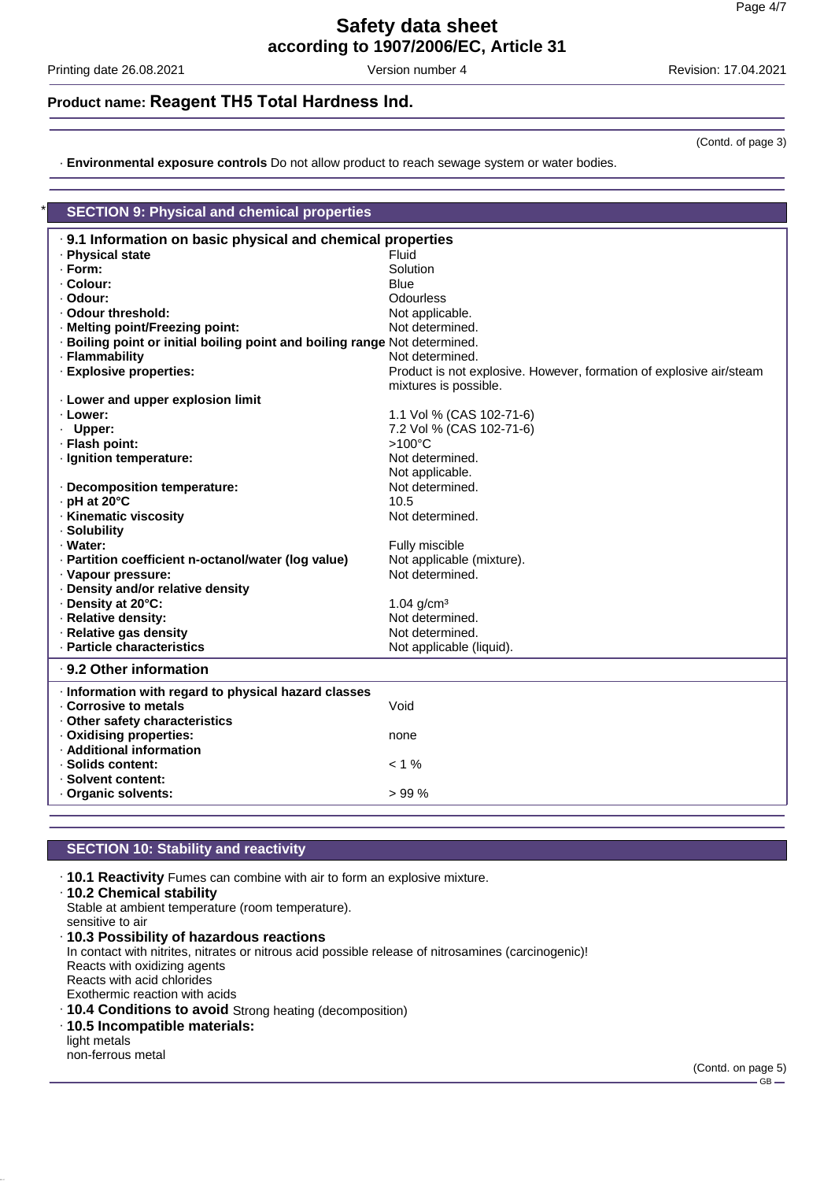Printing date 26.08.2021 **Version number 4** Version number 4 Revision: 17.04.2021

(Contd. of page 3)

# **Product name: Reagent TH5 Total Hardness Ind.**

· **Environmental exposure controls** Do not allow product to reach sewage system or water bodies.

| <b>SECTION 9: Physical and chemical properties</b>                         |                                                                     |  |  |  |
|----------------------------------------------------------------------------|---------------------------------------------------------------------|--|--|--|
| 9.1 Information on basic physical and chemical properties                  |                                                                     |  |  |  |
| · Physical state                                                           | Fluid                                                               |  |  |  |
| · Form:                                                                    | Solution                                                            |  |  |  |
| · Colour:                                                                  | <b>Blue</b>                                                         |  |  |  |
| · Odour:                                                                   | Odourless                                                           |  |  |  |
| · Odour threshold:                                                         | Not applicable.                                                     |  |  |  |
| · Melting point/Freezing point:                                            | Not determined.                                                     |  |  |  |
| · Boiling point or initial boiling point and boiling range Not determined. |                                                                     |  |  |  |
| · Flammability                                                             | Not determined.                                                     |  |  |  |
| · Explosive properties:                                                    | Product is not explosive. However, formation of explosive air/steam |  |  |  |
|                                                                            | mixtures is possible.                                               |  |  |  |
| . Lower and upper explosion limit                                          |                                                                     |  |  |  |
| · Lower:                                                                   | 1.1 Vol % (CAS 102-71-6)                                            |  |  |  |
| · Upper:                                                                   | 7.2 Vol % (CAS 102-71-6)                                            |  |  |  |
| · Flash point:                                                             | $>100^{\circ}$ C                                                    |  |  |  |
| · Ignition temperature:                                                    | Not determined.                                                     |  |  |  |
|                                                                            | Not applicable.                                                     |  |  |  |
| · Decomposition temperature:                                               | Not determined.                                                     |  |  |  |
| · pH at 20°C                                                               | 10.5                                                                |  |  |  |
| · Kinematic viscosity                                                      | Not determined.                                                     |  |  |  |
| · Solubility                                                               |                                                                     |  |  |  |
| · Water:                                                                   | Fully miscible                                                      |  |  |  |
| · Partition coefficient n-octanol/water (log value)                        | Not applicable (mixture).                                           |  |  |  |
| · Vapour pressure:                                                         | Not determined.                                                     |  |  |  |
| Density and/or relative density                                            |                                                                     |  |  |  |
| Density at 20°C:                                                           | 1.04 $g/cm^{3}$                                                     |  |  |  |
| · Relative density:                                                        | Not determined.                                                     |  |  |  |
| · Relative gas density                                                     | Not determined.                                                     |  |  |  |
| · Particle characteristics                                                 | Not applicable (liquid).                                            |  |  |  |
| ⋅ 9.2 Other information                                                    |                                                                     |  |  |  |
| · Information with regard to physical hazard classes                       |                                                                     |  |  |  |
| Corrosive to metals                                                        | Void                                                                |  |  |  |
| . Other safety characteristics                                             |                                                                     |  |  |  |
| · Oxidising properties:                                                    | none                                                                |  |  |  |
| · Additional information                                                   |                                                                     |  |  |  |
| · Solids content:                                                          | $< 1\%$                                                             |  |  |  |
| · Solvent content:                                                         |                                                                     |  |  |  |
| Organic solvents:                                                          | >99%                                                                |  |  |  |
|                                                                            |                                                                     |  |  |  |

#### **SECTION 10: Stability and reactivity**

- · **10.1 Reactivity** Fumes can combine with air to form an explosive mixture.
- · **10.2 Chemical stability**
- Stable at ambient temperature (room temperature). sensitive to air
- · **10.3 Possibility of hazardous reactions** In contact with nitrites, nitrates or nitrous acid possible release of nitrosamines (carcinogenic)! Reacts with oxidizing agents Reacts with acid chlorides Exothermic reaction with acids · **10.4 Conditions to avoid** Strong heating (decomposition) · **10.5 Incompatible materials:** light metals

non-ferrous metal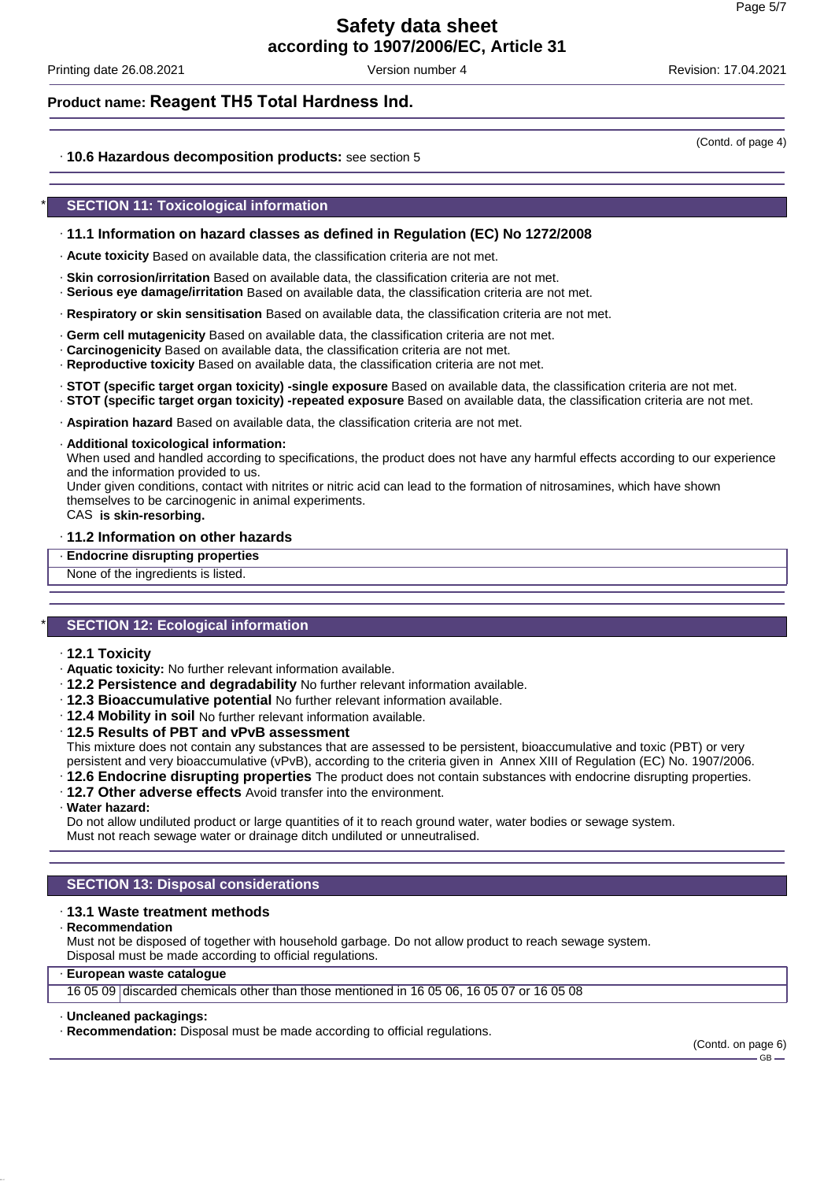Printing date 26.08.2021 **Version number 4** According date 26.08.2021 **Printing date 26.08.2021 Revision: 17.04.2021** 

(Contd. of page 4)

### **Product name: Reagent TH5 Total Hardness Ind.**

#### · **10.6 Hazardous decomposition products:** see section 5

#### **SECTION 11: Toxicological information**

#### · **11.1 Information on hazard classes as defined in Regulation (EC) No 1272/2008**

- · **Acute toxicity** Based on available data, the classification criteria are not met.
- · **Skin corrosion/irritation** Based on available data, the classification criteria are not met.
- · **Serious eye damage/irritation** Based on available data, the classification criteria are not met.
- · **Respiratory or skin sensitisation** Based on available data, the classification criteria are not met.
- · **Germ cell mutagenicity** Based on available data, the classification criteria are not met.
- · **Carcinogenicity** Based on available data, the classification criteria are not met.
- · **Reproductive toxicity** Based on available data, the classification criteria are not met.
- · **STOT (specific target organ toxicity) -single exposure** Based on available data, the classification criteria are not met.
- · **STOT (specific target organ toxicity) -repeated exposure** Based on available data, the classification criteria are not met.
- · **Aspiration hazard** Based on available data, the classification criteria are not met.
- · **Additional toxicological information:**

When used and handled according to specifications, the product does not have any harmful effects according to our experience and the information provided to us.

Under given conditions, contact with nitrites or nitric acid can lead to the formation of nitrosamines, which have shown themselves to be carcinogenic in animal experiments.

CAS **is skin-resorbing.**

#### · **11.2 Information on other hazards**

· **Endocrine disrupting properties**

None of the ingredients is listed.

#### **SECTION 12: Ecological information**

- · **12.1 Toxicity**
- · **Aquatic toxicity:** No further relevant information available.
- · **12.2 Persistence and degradability** No further relevant information available.
- · **12.3 Bioaccumulative potential** No further relevant information available.
- · **12.4 Mobility in soil** No further relevant information available.
- · **12.5 Results of PBT and vPvB assessment**

This mixture does not contain any substances that are assessed to be persistent, bioaccumulative and toxic (PBT) or very persistent and very bioaccumulative (vPvB), according to the criteria given in Annex XIII of Regulation (EC) No. 1907/2006.

- · **12.6 Endocrine disrupting properties** The product does not contain substances with endocrine disrupting properties.
- · **12.7 Other adverse effects** Avoid transfer into the environment.
- · **Water hazard:**

Do not allow undiluted product or large quantities of it to reach ground water, water bodies or sewage system. Must not reach sewage water or drainage ditch undiluted or unneutralised.

#### **SECTION 13: Disposal considerations**

#### · **13.1 Waste treatment methods**

· **Recommendation**

Must not be disposed of together with household garbage. Do not allow product to reach sewage system. Disposal must be made according to official regulations.

#### · **European waste catalogue**

16 05 09 discarded chemicals other than those mentioned in 16 05 06, 16 05 07 or 16 05 08

#### · **Uncleaned packagings:**

· **Recommendation:** Disposal must be made according to official regulations.

# $GR -$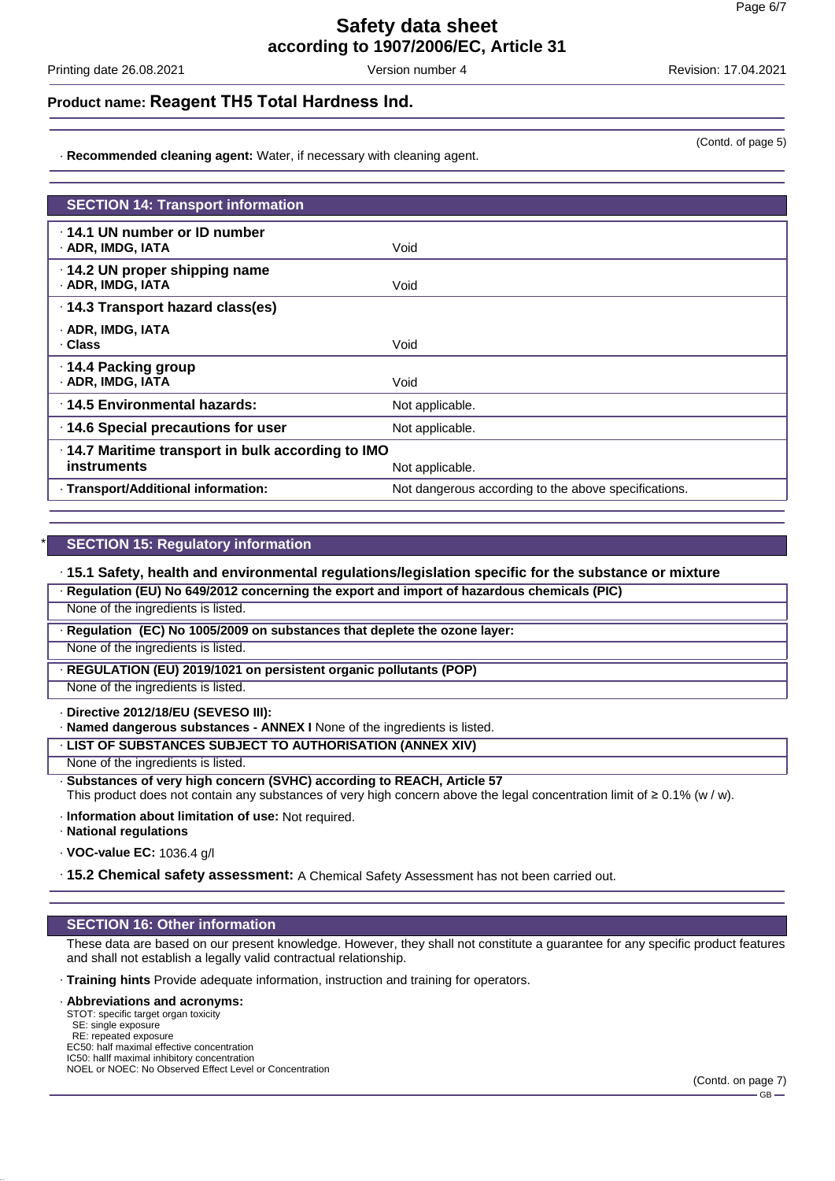Printing date 26.08.2021 **Version number 4** According date 26.08.2021 **Printing date 26.08.2021 Revision: 17.04.2021** 

#### **Product name: Reagent TH5 Total Hardness Ind.**

· **Recommended cleaning agent:** Water, if necessary with cleaning agent.

| <b>SECTION 14: Transport information</b><br>$\cdot$ 14.1 UN number or ID number<br>· ADR, IMDG, IATA<br>Void<br>$\cdot$ 14.2 UN proper shipping name<br>· ADR, IMDG, IATA<br>Void<br>· 14.3 Transport hazard class(es)<br>· ADR, IMDG, IATA<br>· Class<br>Void<br>· 14.4 Packing group<br>· ADR, IMDG, IATA<br>Void<br>⋅14.5 Environmental hazards:<br>Not applicable.<br>14.6 Special precautions for user<br>Not applicable.<br>.14.7 Maritime transport in bulk according to IMO<br>instruments<br>Not applicable. |                                     |                                                      |  |  |
|-----------------------------------------------------------------------------------------------------------------------------------------------------------------------------------------------------------------------------------------------------------------------------------------------------------------------------------------------------------------------------------------------------------------------------------------------------------------------------------------------------------------------|-------------------------------------|------------------------------------------------------|--|--|
|                                                                                                                                                                                                                                                                                                                                                                                                                                                                                                                       |                                     |                                                      |  |  |
|                                                                                                                                                                                                                                                                                                                                                                                                                                                                                                                       |                                     |                                                      |  |  |
|                                                                                                                                                                                                                                                                                                                                                                                                                                                                                                                       |                                     |                                                      |  |  |
|                                                                                                                                                                                                                                                                                                                                                                                                                                                                                                                       |                                     |                                                      |  |  |
|                                                                                                                                                                                                                                                                                                                                                                                                                                                                                                                       |                                     |                                                      |  |  |
|                                                                                                                                                                                                                                                                                                                                                                                                                                                                                                                       |                                     |                                                      |  |  |
|                                                                                                                                                                                                                                                                                                                                                                                                                                                                                                                       |                                     |                                                      |  |  |
|                                                                                                                                                                                                                                                                                                                                                                                                                                                                                                                       |                                     |                                                      |  |  |
|                                                                                                                                                                                                                                                                                                                                                                                                                                                                                                                       |                                     |                                                      |  |  |
|                                                                                                                                                                                                                                                                                                                                                                                                                                                                                                                       | · Transport/Additional information: | Not dangerous according to the above specifications. |  |  |

#### **SECTION 15: Regulatory information**

· **15.1 Safety, health and environmental regulations/legislation specific for the substance or mixture**

| · Regulation (EU) No 649/2012 concerning the export and import of hazardous chemicals (PIC) |  |  |
|---------------------------------------------------------------------------------------------|--|--|
|                                                                                             |  |  |

None of the ingredients is listed.

· **Regulation (EC) No 1005/2009 on substances that deplete the ozone layer:**

None of the ingredients is listed.

· **REGULATION (EU) 2019/1021 on persistent organic pollutants (POP)**

None of the ingredients is listed.

· **Directive 2012/18/EU (SEVESO III):**

· **Named dangerous substances - ANNEX I** None of the ingredients is listed.

· **LIST OF SUBSTANCES SUBJECT TO AUTHORISATION (ANNEX XIV)**

None of the ingredients is listed.

· **Substances of very high concern (SVHC) according to REACH, Article 57**

This product does not contain any substances of very high concern above the legal concentration limit of ≥ 0.1% (w / w).

· **Information about limitation of use:** Not required.

· **National regulations**

· **VOC-value EC:** 1036.4 g/l

· **15.2 Chemical safety assessment:** A Chemical Safety Assessment has not been carried out.

#### **SECTION 16: Other information**

These data are based on our present knowledge. However, they shall not constitute a guarantee for any specific product features and shall not establish a legally valid contractual relationship.

· **Training hints** Provide adequate information, instruction and training for operators.

#### · **Abbreviations and acronyms:**

STOT: specific target organ toxicity SE: single exposure RE: repeated exposure EC50: half maximal effective concentration IC50: hallf maximal inhibitory concentration NOEL or NOEC: No Observed Effect Level or Concentration (Contd. of page 5)